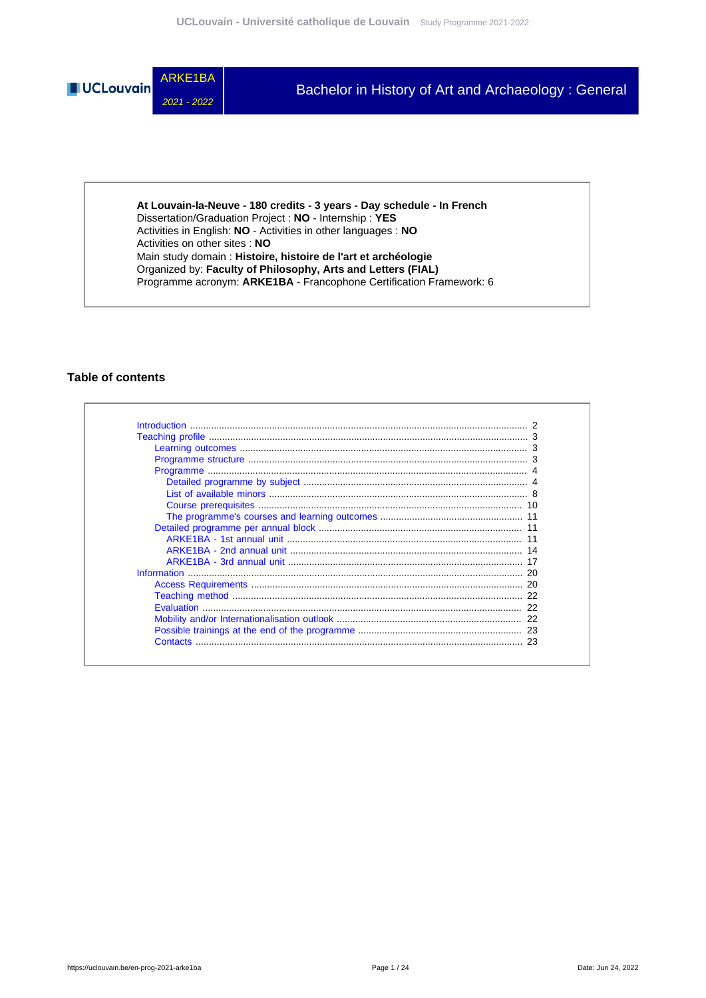

**At Louvain-la-Neuve - 180 credits - 3 years - Day schedule - In French** Dissertation/Graduation Project : **NO** - Internship : **YES** Activities in English: **NO** - Activities in other languages : **NO** Activities on other sites : **NO** Main study domain : **Histoire, histoire de l'art et archéologie** Organized by: **Faculty of Philosophy, Arts and Letters (FIAL)** Programme acronym: **ARKE1BA** - Francophone Certification Framework: 6

### **Table of contents**

| <b>Contacts</b> |  |
|-----------------|--|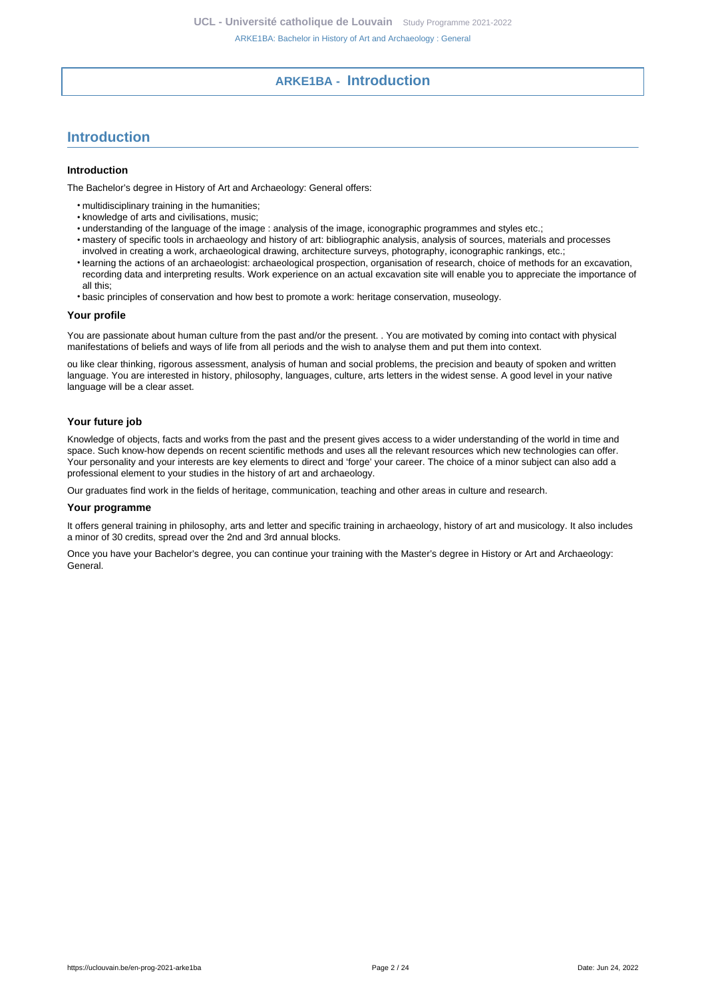# **ARKE1BA - Introduction**

# <span id="page-1-0"></span>**Introduction**

#### **Introduction**

The Bachelor's degree in History of Art and Archaeology: General offers:

- multidisciplinary training in the humanities;
- knowledge of arts and civilisations, music;
- understanding of the language of the image : analysis of the image, iconographic programmes and styles etc.;
- mastery of specific tools in archaeology and history of art: bibliographic analysis, analysis of sources, materials and processes
- involved in creating a work, archaeological drawing, architecture surveys, photography, iconographic rankings, etc.;
- learning the actions of an archaeologist: archaeological prospection, organisation of research, choice of methods for an excavation, recording data and interpreting results. Work experience on an actual excavation site will enable you to appreciate the importance of all this;
- basic principles of conservation and how best to promote a work: heritage conservation, museology.

#### **Your profile**

You are passionate about human culture from the past and/or the present. . You are motivated by coming into contact with physical manifestations of beliefs and ways of life from all periods and the wish to analyse them and put them into context.

ou like clear thinking, rigorous assessment, analysis of human and social problems, the precision and beauty of spoken and written language. You are interested in history, philosophy, languages, culture, arts letters in the widest sense. A good level in your native language will be a clear asset.

### **Your future job**

Knowledge of objects, facts and works from the past and the present gives access to a wider understanding of the world in time and space. Such know-how depends on recent scientific methods and uses all the relevant resources which new technologies can offer. Your personality and your interests are key elements to direct and 'forge' your career. The choice of a minor subject can also add a professional element to your studies in the history of art and archaeology.

Our graduates find work in the fields of heritage, communication, teaching and other areas in culture and research.

#### **Your programme**

It offers general training in philosophy, arts and letter and specific training in archaeology, history of art and musicology. It also includes a minor of 30 credits, spread over the 2nd and 3rd annual blocks.

Once you have your Bachelor's degree, you can continue your training with the Master's degree in History or Art and Archaeology: General.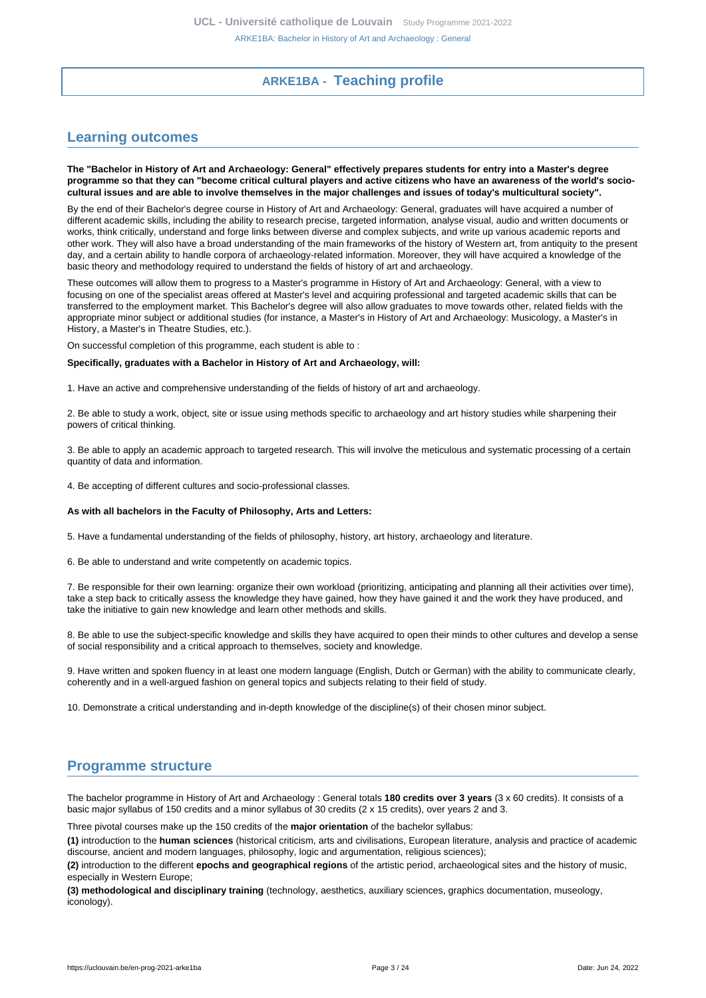# **ARKE1BA - Teaching profile**

# <span id="page-2-1"></span><span id="page-2-0"></span>**Learning outcomes**

**The "Bachelor in History of Art and Archaeology: General" effectively prepares students for entry into a Master's degree programme so that they can "become critical cultural players and active citizens who have an awareness of the world's sociocultural issues and are able to involve themselves in the major challenges and issues of today's multicultural society".**

By the end of their Bachelor's degree course in History of Art and Archaeology: General, graduates will have acquired a number of different academic skills, including the ability to research precise, targeted information, analyse visual, audio and written documents or works, think critically, understand and forge links between diverse and complex subjects, and write up various academic reports and other work. They will also have a broad understanding of the main frameworks of the history of Western art, from antiquity to the present day, and a certain ability to handle corpora of archaeology-related information. Moreover, they will have acquired a knowledge of the basic theory and methodology required to understand the fields of history of art and archaeology.

These outcomes will allow them to progress to a Master's programme in History of Art and Archaeology: General, with a view to focusing on one of the specialist areas offered at Master's level and acquiring professional and targeted academic skills that can be transferred to the employment market. This Bachelor's degree will also allow graduates to move towards other, related fields with the appropriate minor subject or additional studies (for instance, a Master's in History of Art and Archaeology: Musicology, a Master's in History, a Master's in Theatre Studies, etc.).

On successful completion of this programme, each student is able to :

#### **Specifically, graduates with a Bachelor in History of Art and Archaeology, will:**

1. Have an active and comprehensive understanding of the fields of history of art and archaeology.

2. Be able to study a work, object, site or issue using methods specific to archaeology and art history studies while sharpening their powers of critical thinking.

3. Be able to apply an academic approach to targeted research. This will involve the meticulous and systematic processing of a certain quantity of data and information.

4. Be accepting of different cultures and socio-professional classes.

#### **As with all bachelors in the Faculty of Philosophy, Arts and Letters:**

5. Have a fundamental understanding of the fields of philosophy, history, art history, archaeology and literature.

6. Be able to understand and write competently on academic topics.

7. Be responsible for their own learning: organize their own workload (prioritizing, anticipating and planning all their activities over time), take a step back to critically assess the knowledge they have gained, how they have gained it and the work they have produced, and take the initiative to gain new knowledge and learn other methods and skills.

8. Be able to use the subject-specific knowledge and skills they have acquired to open their minds to other cultures and develop a sense of social responsibility and a critical approach to themselves, society and knowledge.

9. Have written and spoken fluency in at least one modern language (English, Dutch or German) with the ability to communicate clearly, coherently and in a well-argued fashion on general topics and subjects relating to their field of study.

10. Demonstrate a critical understanding and in-depth knowledge of the discipline(s) of their chosen minor subject.

# <span id="page-2-2"></span>**Programme structure**

The bachelor programme in History of Art and Archaeology : General totals **180 credits over 3 years** (3 x 60 credits). It consists of a basic major syllabus of 150 credits and a minor syllabus of 30 credits (2 x 15 credits), over years 2 and 3.

Three pivotal courses make up the 150 credits of the **major orientation** of the bachelor syllabus:

**(1)** introduction to the **human sciences** (historical criticism, arts and civilisations, European literature, analysis and practice of academic discourse, ancient and modern languages, philosophy, logic and argumentation, religious sciences);

**(2)** introduction to the different **epochs and geographical regions** of the artistic period, archaeological sites and the history of music, especially in Western Europe;

**(3) methodological and disciplinary training** (technology, aesthetics, auxiliary sciences, graphics documentation, museology, iconology).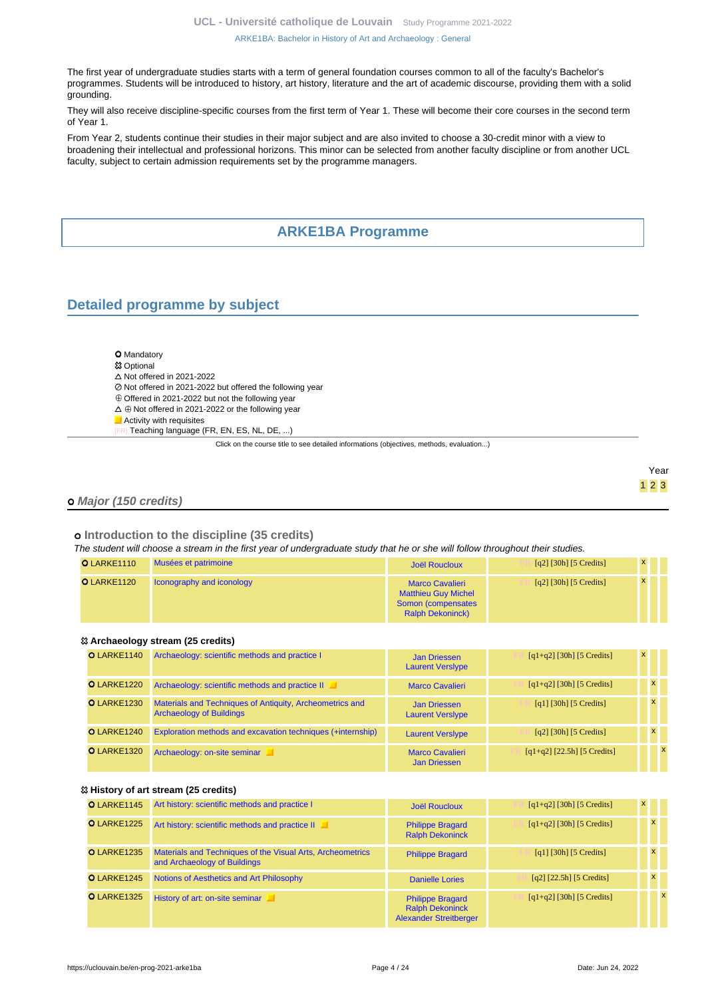The first year of undergraduate studies starts with a term of general foundation courses common to all of the faculty's Bachelor's programmes. Students will be introduced to history, art history, literature and the art of academic discourse, providing them with a solid grounding.

They will also receive discipline-specific courses from the first term of Year 1. These will become their core courses in the second term of Year 1.

From Year 2, students continue their studies in their major subject and are also invited to choose a 30-credit minor with a view to broadening their intellectual and professional horizons. This minor can be selected from another faculty discipline or from another UCL faculty, subject to certain admission requirements set by the programme managers.

# **ARKE1BA Programme**

# <span id="page-3-1"></span><span id="page-3-0"></span>**Detailed programme by subject**

| <b>O</b> Mandatory                                               |
|------------------------------------------------------------------|
| <sup>8</sup> Optional                                            |
| $\triangle$ Not offered in 2021-2022                             |
| ⊘ Not offered in 2021-2022 but offered the following year        |
| $\oplus$ Offered in 2021-2022 but not the following year         |
| $\wedge$ $\oplus$ Not offered in 2021-2022 or the following year |

- Not offered in 2021-2022 or the following year
- **Activity with requisites** 
	- Teaching language (FR, EN, ES, NL, DE, ...)

Click on the course title to see detailed informations (objectives, methods, evaluation...)

|  | eа<br>ı |
|--|---------|
|  |         |

### **Major (150 credits)**

### **Introduction to the discipline (35 credits)**

The student will choose a stream in the first year of undergraduate study that he or she will follow throughout their studies.

| O LARKE1110 | Musées et patrimoine             | Joël Roucloux                                                                                         | [q2] [30h] [5 Credits] | X            |  |
|-------------|----------------------------------|-------------------------------------------------------------------------------------------------------|------------------------|--------------|--|
| O LARKE1120 | <b>Iconography and iconology</b> | <b>Marco Cavalieri</b><br><b>Matthieu Guy Michel</b><br>Somon (compensates<br><b>Ralph Dekoninck)</b> | [q2] [30h] [5 Credits] | $\mathbf{x}$ |  |

#### **Archaeology stream (25 credits)**

| O LARKE1140        | Archaeology: scientific methods and practice I                                              | <b>Jan Driessen</b><br><b>Laurent Versiype</b> | $[q1+q2]$ [30h] [5 Credits]           | $\mathbf{x}$ |              |
|--------------------|---------------------------------------------------------------------------------------------|------------------------------------------------|---------------------------------------|--------------|--------------|
| <b>O</b> LARKE1220 | Archaeology: scientific methods and practice II                                             | <b>Marco Cavalieri</b>                         | $[q1+q2]$ [30h] [5 Credits]           |              | $\mathbf{x}$ |
| <b>O</b> LARKE1230 | Materials and Techniques of Antiquity, Archeometrics and<br><b>Archaeology of Buildings</b> | <b>Jan Driessen</b><br><b>Laurent Versiype</b> | [q1] [30h] [5 Credits]                |              | $\mathsf{x}$ |
| O LARKE1240        | Exploration methods and excavation techniques (+internship)                                 | <b>Laurent Versiype</b>                        | $\lceil q^2 \rceil$ [30h] [5 Credits] |              | $\mathbf{x}$ |
| <b>O</b> LARKE1320 | Archaeology: on-site seminar                                                                | <b>Marco Cavalieri</b><br><b>Jan Driessen</b>  | $[q1+q2]$ [22.5h] [5 Credits]         |              |              |

### **History of art stream (25 credits)**

| O LARKE1145        | Art history: scientific methods and practice I                                             | <b>Joël Roucloux</b>                                                               | $[q1+q2]$ [30h] [5 Credits] | $\mathsf{x}$ |              |
|--------------------|--------------------------------------------------------------------------------------------|------------------------------------------------------------------------------------|-----------------------------|--------------|--------------|
| O LARKE1225        | Art history: scientific methods and practice II                                            | <b>Philippe Bragard</b><br><b>Ralph Dekoninck</b>                                  | $[q1+q2]$ [30h] [5 Credits] | $\mathsf{x}$ |              |
| <b>O</b> LARKE1235 | Materials and Techniques of the Visual Arts, Archeometrics<br>and Archaeology of Buildings | <b>Philippe Bragard</b>                                                            | [q1] [30h] [5 Credits]      | $\mathbf{x}$ |              |
| O LARKE1245        | Notions of Aesthetics and Art Philosophy                                                   | <b>Danielle Lories</b>                                                             | $[q2]$ [22.5h] [5 Credits]  | $\mathsf{x}$ |              |
| O LARKE1325        | History of art: on-site seminar                                                            | <b>Philippe Bragard</b><br><b>Ralph Dekoninck</b><br><b>Alexander Streitberger</b> | $[q1+q2]$ [30h] [5 Credits] |              | $\mathsf{x}$ |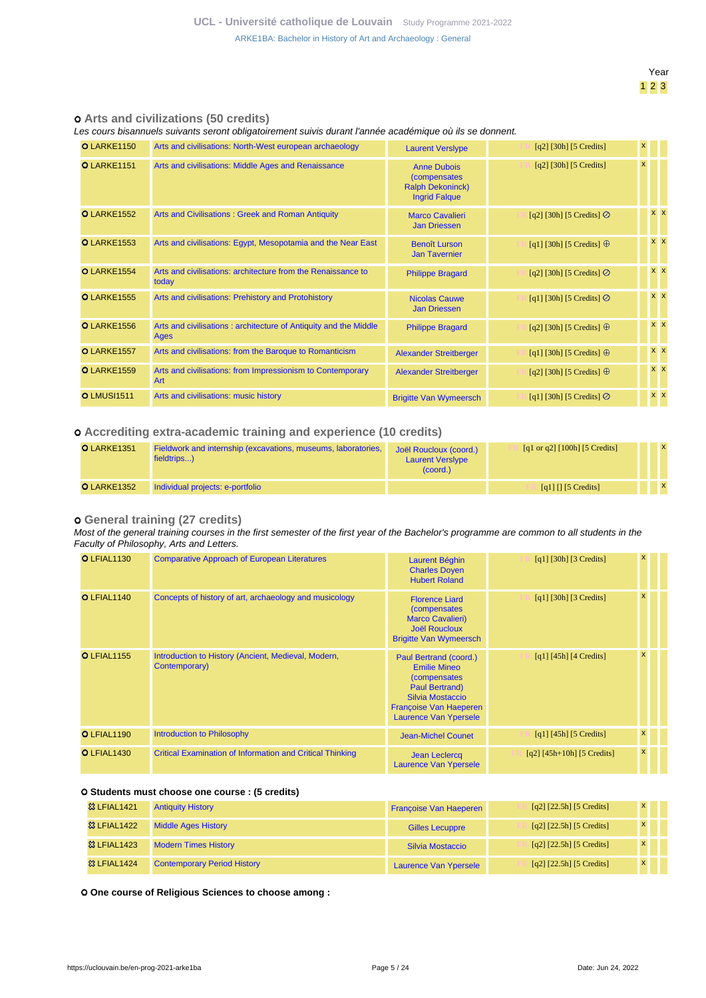### **Arts and civilizations (50 credits)**

Les cours bisannuels suivants seront obligatoirement suivis durant l'année académique où ils se donnent.

| O LARKE1150        | Arts and civilisations: North-West european archaeology                  | <b>Laurent Verslype</b>                                                               | $[q2]$ [30h] [5 Credits]         | $\mathsf{x}$ |                |
|--------------------|--------------------------------------------------------------------------|---------------------------------------------------------------------------------------|----------------------------------|--------------|----------------|
| O LARKE1151        | Arts and civilisations: Middle Ages and Renaissance                      | <b>Anne Dubois</b><br>(compensates<br><b>Ralph Dekoninck)</b><br><b>Ingrid Falque</b> | $[q2]$ [30h] [5 Credits]         | $\mathsf{x}$ |                |
| O LARKE1552        | Arts and Civilisations: Greek and Roman Antiquity                        | <b>Marco Cavalieri</b><br><b>Jan Driessen</b>                                         | [q2] [30h] [5 Credits] $\oslash$ |              | <b>x x</b>     |
| <b>O</b> LARKE1553 | Arts and civilisations: Egypt, Mesopotamia and the Near East             | <b>Benoît Lurson</b><br><b>Jan Tavernier</b>                                          | [q1] [30h] [5 Credits] $\oplus$  |              | $x \times$     |
| O LARKE1554        | Arts and civilisations: architecture from the Renaissance to<br>today    | <b>Philippe Bragard</b>                                                               | [q2] [30h] [5 Credits] $\odot$   |              | $x \times$     |
| <b>O</b> LARKE1555 | Arts and civilisations: Prehistory and Protohistory                      | <b>Nicolas Cauwe</b><br><b>Jan Driessen</b>                                           | [q1] [30h] [5 Credits] $\oslash$ |              | $x \mathbf{X}$ |
| <b>O</b> LARKE1556 | Arts and civilisations: architecture of Antiquity and the Middle<br>Ages | <b>Philippe Bragard</b>                                                               | [q2] [30h] [5 Credits] $\oplus$  |              | $x \mid x$     |
| <b>O</b> LARKE1557 | Arts and civilisations: from the Baroque to Romanticism                  | <b>Alexander Streitberger</b>                                                         | [q1] [30h] [5 Credits] $\oplus$  |              | $x \mathbf{X}$ |
| <b>O</b> LARKE1559 | Arts and civilisations: from Impressionism to Contemporary<br><b>Art</b> | <b>Alexander Streitberger</b>                                                         | [q2] [30h] [5 Credits] $\oplus$  |              | $x \times$     |
| <b>OLMUSI1511</b>  | Arts and civilisations: music history                                    | <b>Brigitte Van Wymeersch</b>                                                         | [q1] [30h] [5 Credits] $\oslash$ |              | $x \times$     |

### **Accrediting extra-academic training and experience (10 credits)**

| <b>O</b> LARKE1351 | Fieldwork and internship (excavations, museums, laboratories,<br>fieldtrips) | Joël Roucloux (coord.)<br><b>Laurent Versiype</b><br>(coord.) | [q1 or q2] $[100h]$ [5 Credits]             |  |  |
|--------------------|------------------------------------------------------------------------------|---------------------------------------------------------------|---------------------------------------------|--|--|
| O LARKE1352        | Individual projects: e-portfolio                                             |                                                               | $\lceil q_1 \rceil \lceil s \rceil$ Credits |  |  |

### **General training (27 credits)**

Most of the general training courses in the first semester of the first year of the Bachelor's programme are common to all students in the Faculty of Philosophy, Arts and Letters.

| O LFIAL1130        | <b>Comparative Approach of European Literatures</b>                  | <b>Laurent Béghin</b><br><b>Charles Doven</b><br><b>Hubert Roland</b>                                                                                  | $\lceil q_1 \rceil$ [30h] [3 Credits] | x            |  |
|--------------------|----------------------------------------------------------------------|--------------------------------------------------------------------------------------------------------------------------------------------------------|---------------------------------------|--------------|--|
| O LFIAL1140        | Concepts of history of art, archaeology and musicology               | <b>Florence Liard</b><br><i>(compensates)</i><br><b>Marco Cavalieri)</b><br><b>Joël Roucloux</b><br><b>Brigitte Van Wymeersch</b>                      | $\lceil q_1 \rceil$ [30h] [3 Credits] | $\mathsf{x}$ |  |
| <b>O</b> LFIAL1155 | Introduction to History (Ancient, Medieval, Modern,<br>Contemporary) | Paul Bertrand (coord.)<br><b>Emilie Mineo</b><br>(compensates<br>Paul Bertrand)<br>Silvia Mostaccio<br>Françoise Van Haeperen<br>Laurence Van Ypersele | $\lceil q_1 \rceil$ [45h] [4 Credits] | x            |  |
| O LFIAL1190        | Introduction to Philosophy                                           | <b>Jean-Michel Counet</b>                                                                                                                              | $\lceil q_1 \rceil$ [45h] [5 Credits] | x            |  |
| O LFIAL1430        | <b>Critical Examination of Information and Critical Thinking</b>     | <b>Jean Leclercq</b><br>Laurence Van Ypersele                                                                                                          | $[q2] [45h+10h] [5 Credits]$          | $\mathsf{x}$ |  |

#### **Students must choose one course : (5 credits)**

| <b>&amp;3 LFIAL1421</b> | <b>Antiquity History</b>           | <b>Françoise Van Haeperen</b> | [q2] [22.5h] [5 Credits]   | $\mathsf{x}$ |  |
|-------------------------|------------------------------------|-------------------------------|----------------------------|--------------|--|
| <b>&amp; LFIAL1422</b>  | <b>Middle Ages History</b>         | <b>Gilles Lecuppre</b>        | $[q2]$ [22.5h] [5 Credits] | $\mathsf{x}$ |  |
| <b>&amp;3 LFIAL1423</b> | <b>Modern Times History</b>        | Silvia Mostaccio              | $[q2]$ [22.5h] [5 Credits] | $\mathbf{x}$ |  |
| <b>&amp;3 LFIAL1424</b> | <b>Contemporary Period History</b> | <b>Laurence Van Ypersele</b>  | $[q2]$ [22.5h] [5 Credits] | $\mathbf{x}$ |  |

 **One course of Religious Sciences to choose among :**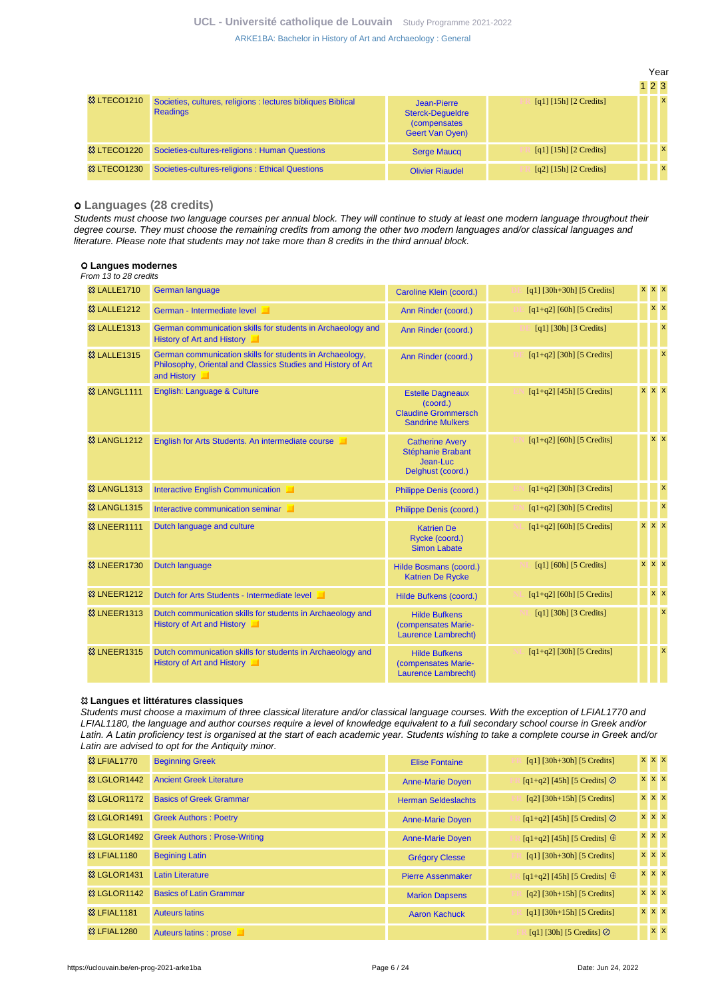[ARKE1BA: Bachelor in History of Art and Archaeology : General](https://uclouvain.be/en-prog-2021-arke1ba.html)

|                        |                                                                                 |                                                                                          |                                                                | $1\,2\,3$ |              |
|------------------------|---------------------------------------------------------------------------------|------------------------------------------------------------------------------------------|----------------------------------------------------------------|-----------|--------------|
| <b>&amp; LTECO1210</b> | Societies, cultures, religions : lectures bibliques Biblical<br><b>Readings</b> | Jean-Pierre<br><b>Sterck-Dequeldre</b><br><i>(compensates)</i><br><b>Geert Van Oyen)</b> | $\lceil q_1 \rceil \lceil 15h \rceil \lceil 2 \right]$ Credits |           | $\mathsf{x}$ |
| <b>&amp; LTECO1220</b> | Societies-cultures-religions : Human Questions                                  | <b>Serge Maucq</b>                                                                       | $\lceil q_1 \rceil \lceil 15h \rceil \lceil 2 \right]$ Credits |           | $\mathsf{x}$ |
| <b>&amp; LTECO1230</b> | Societies-cultures-religions : Ethical Questions                                | <b>Olivier Riaudel</b>                                                                   | $\lceil q^2 \rceil$ [15h] $\lceil 2 \right]$ Credits]          |           | $\mathsf{x}$ |

#### **Languages (28 credits)**

Students must choose two language courses per annual block. They will continue to study at least one modern language throughout their degree course. They must choose the remaining credits from among the other two modern languages and/or classical languages and literature. Please note that students may not take more than 8 credits in the third annual block.

#### **Langues modernes**

From 13 to 28 credits

| <b>83 LALLE1710</b>     | <b>German language</b>                                                                                                                  | Caroline Klein (coord.)                                                                      | $[q1]$ [30h+30h] [5 Credits] |  | <b>x</b> x x              |
|-------------------------|-----------------------------------------------------------------------------------------------------------------------------------------|----------------------------------------------------------------------------------------------|------------------------------|--|---------------------------|
| 83 LALLE1212            | German - Intermediate level                                                                                                             | Ann Rinder (coord.)                                                                          | $[q1+q2]$ [60h] [5 Credits]  |  | $x \times$                |
| <b>83 LALLE1313</b>     | German communication skills for students in Archaeology and<br>History of Art and History                                               | Ann Rinder (coord.)                                                                          | $[q1]$ [30h] [3 Credits]     |  | $\overline{\mathbf{x}}$   |
| <b>83 LALLE1315</b>     | German communication skills for students in Archaeology,<br>Philosophy, Oriental and Classics Studies and History of Art<br>and History | Ann Rinder (coord.)                                                                          | $[q1+q2]$ [30h] [5 Credits]  |  | $\boldsymbol{\mathsf{x}}$ |
| <b>&amp;3 LANGL1111</b> | English: Language & Culture                                                                                                             | <b>Estelle Dagneaux</b><br>(coord.)<br><b>Claudine Grommersch</b><br><b>Sandrine Mulkers</b> | $[q1+q2]$ [45h] [5 Credits]  |  | x x x                     |
| <b>&amp;3 LANGL1212</b> | English for Arts Students. An intermediate course                                                                                       | <b>Catherine Avery</b><br>Stéphanie Brabant<br>Jean-Luc<br>Delghust (coord.)                 | $[q1+q2]$ [60h] [5 Credits]  |  | $x \overline{x}$          |
| <b>&amp;3 LANGL1313</b> | Interactive English Communication                                                                                                       | Philippe Denis (coord.)                                                                      | $[q1+q2]$ [30h] [3 Credits]  |  | $\boldsymbol{\mathsf{x}}$ |
| <b>&amp;3 LANGL1315</b> | Interactive communication seminar                                                                                                       | Philippe Denis (coord.)                                                                      | $[q1+q2]$ [30h] [5 Credits]  |  | $\mathbf{x}$              |
| <b>&amp; LNEER1111</b>  | Dutch language and culture                                                                                                              | <b>Katrien De</b><br>Rycke (coord.)<br><b>Simon Labate</b>                                   | $[q1+q2]$ [60h] [5 Credits]  |  | x x x                     |
| <b>&amp;3 LNEER1730</b> | <b>Dutch language</b>                                                                                                                   | Hilde Bosmans (coord.)<br><b>Katrien De Rycke</b>                                            | [q1] $[60h]$ [5 Credits]     |  | $X$ $X$ $X$               |
| <b>&amp; LNEER1212</b>  | Dutch for Arts Students - Intermediate level                                                                                            | Hilde Bufkens (coord.)                                                                       | $[q1+q2]$ [60h] [5 Credits]  |  | $x \times$                |
| <b>&amp; LNEER1313</b>  | Dutch communication skills for students in Archaeology and<br>History of Art and History                                                | <b>Hilde Bufkens</b><br>(compensates Marie-<br>Laurence Lambrecht)                           | [q1] [30h] [3 Credits]       |  | $\boldsymbol{\mathsf{x}}$ |
| <b>8 LNEER1315</b>      | Dutch communication skills for students in Archaeology and<br>History of Art and History                                                | <b>Hilde Bufkens</b><br>(compensates Marie-<br>Laurence Lambrecht)                           | $[q1+q2]$ [30h] [5 Credits]  |  | $\boldsymbol{\mathsf{x}}$ |

#### **Langues et littératures classiques**

Students must choose a maximum of three classical literature and/or classical language courses. With the exception of LFIAL1770 and LFIAL1180, the language and author courses require a level of knowledge equivalent to a full secondary school course in Greek and/or Latin. A Latin proficiency test is organised at the start of each academic year. Students wishing to take a complete course in Greek and/or Latin are advised to opt for the Antiquity minor.

| <b>&amp; LFIAL1770</b>  | <b>Beginning Greek</b>              | <b>Elise Fontaine</b>      | $[q1]$ [30h+30h] [5 Credits]          | x x x      |  |
|-------------------------|-------------------------------------|----------------------------|---------------------------------------|------------|--|
| <b>&amp; LGLOR1442</b>  | <b>Ancient Greek Literature</b>     | <b>Anne-Marie Doyen</b>    | $[q1+q2]$ [45h] [5 Credits] $\oslash$ | x x x      |  |
| <b>&amp; LGLOR1172</b>  | <b>Basics of Greek Grammar</b>      | <b>Herman Seldeslachts</b> | $[q2]$ [30h+15h] [5 Credits]          | x x x      |  |
| <b>&amp;3 LGLOR1491</b> | <b>Greek Authors: Poetry</b>        | <b>Anne-Marie Doyen</b>    | $[q1+q2]$ [45h] [5 Credits] $\odot$   | x x x      |  |
| <b>&amp; LGLOR1492</b>  | <b>Greek Authors: Prose-Writing</b> | <b>Anne-Marie Doyen</b>    | $[q1+q2]$ [45h] [5 Credits] $\oplus$  | x x x      |  |
| <b>83 LFIAL1180</b>     | <b>Begining Latin</b>               | <b>Grégory Clesse</b>      | $[q1]$ [30h+30h] [5 Credits]          | x x x      |  |
| <b>&amp;3 LGLOR1431</b> | Latin Literature                    | <b>Pierre Assenmaker</b>   | $[q1+q2]$ [45h] [5 Credits] $\oplus$  | x x x      |  |
| <b>&amp; LGLOR1142</b>  | <b>Basics of Latin Grammar</b>      | <b>Marion Dapsens</b>      | $[q2]$ [30h+15h] [5 Credits]          | x x x      |  |
| <b>83 LFIAL1181</b>     | <b>Auteurs latins</b>               | <b>Aaron Kachuck</b>       | $[q1]$ [30h+15h] [5 Credits]          | x x x      |  |
| <b>&amp; LFIAL1280</b>  | Auteurs latins : prose              |                            | [q1] [30h] [5 Credits] $\oslash$      | $x \times$ |  |

Year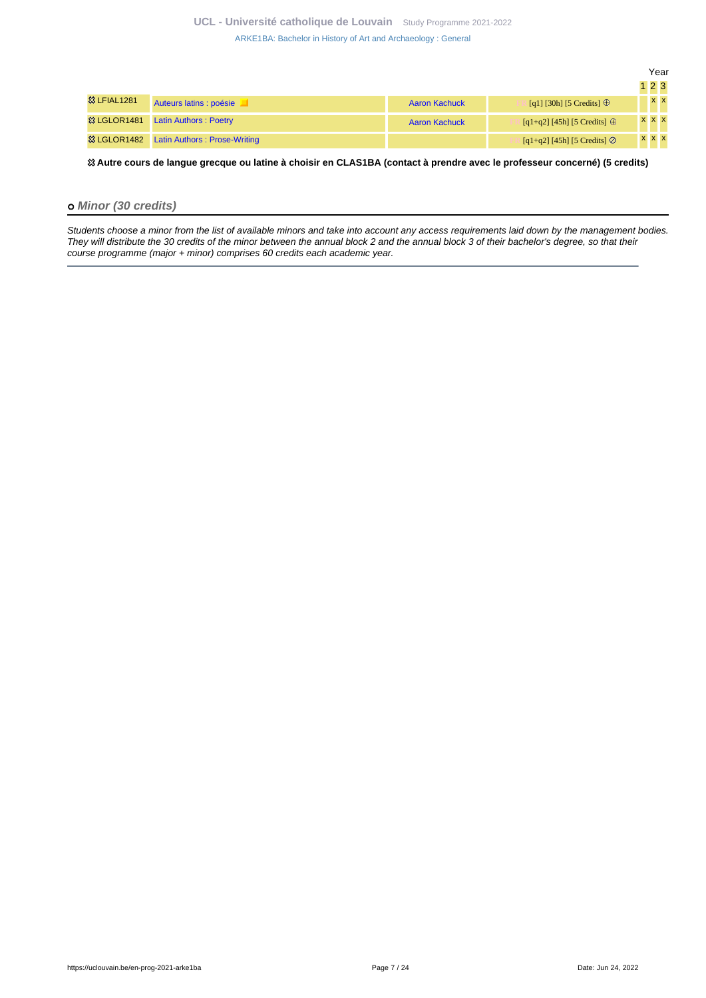|                          |                                     |                      |                                     |       | Year    |
|--------------------------|-------------------------------------|----------------------|-------------------------------------|-------|---------|
|                          |                                     |                      |                                     | 123   |         |
| <b>&amp;3 LFIAL1281</b>  | Auteurs latins : poésie             | <b>Aaron Kachuck</b> | [q1] [30h] [5 Credits] $\oplus$     |       | $X$ $X$ |
| <sup>3</sup> & LGLOR1481 | <b>Latin Authors: Poetry</b>        | <b>Aaron Kachuck</b> | $[q1+q2] [45h] [5 Credits] \oplus$  | x x x |         |
| <b>&amp; LGLOR1482</b>   | <b>Latin Authors: Prose-Writing</b> |                      | $[q1+q2]$ [45h] [5 Credits] $\odot$ | x x x |         |

 **Autre cours de langue grecque ou latine à choisir en CLAS1BA (contact à prendre avec le professeur concerné) (5 credits)**

### **Minor (30 credits)**

Students choose a minor from the list of available minors and take into account any access requirements laid down by the management bodies. They will distribute the 30 credits of the minor between the annual block 2 and the annual block 3 of their bachelor's degree, so that their course programme (major + minor) comprises 60 credits each academic year.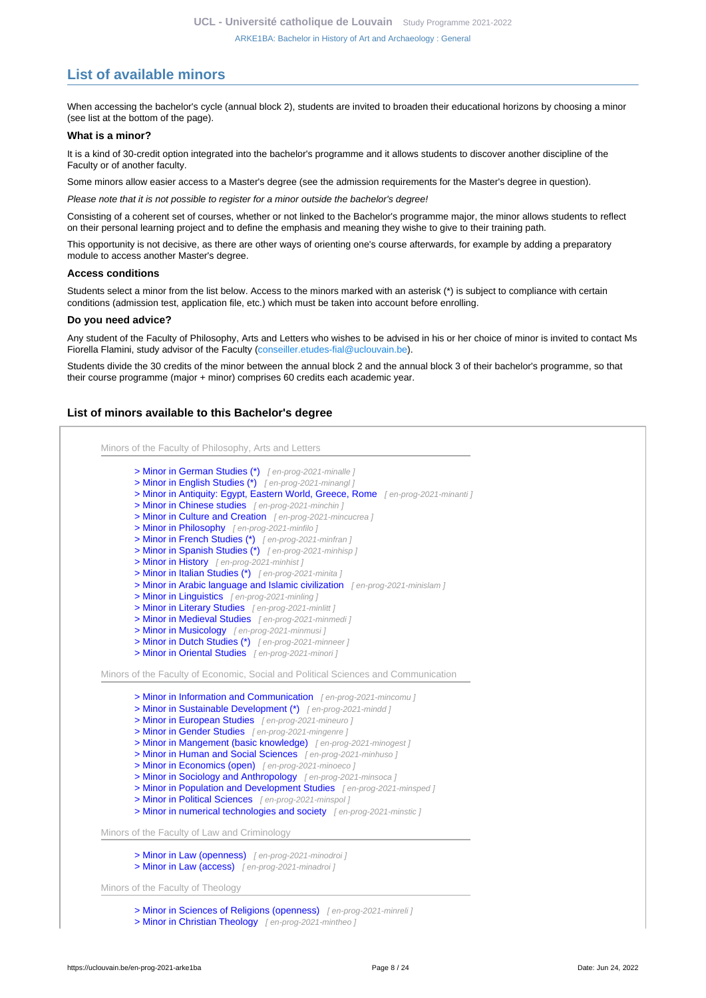# <span id="page-7-0"></span>**List of available minors**

When accessing the bachelor's cycle (annual block 2), students are invited to broaden their educational horizons by choosing a minor (see list at the bottom of the page).

#### **What is a minor?**

It is a kind of 30-credit option integrated into the bachelor's programme and it allows students to discover another discipline of the Faculty or of another faculty.

Some minors allow easier access to a Master's degree (see the admission requirements for the Master's degree in question).

Please note that it is not possible to register for a minor outside the bachelor's degree!

Consisting of a coherent set of courses, whether or not linked to the Bachelor's programme major, the minor allows students to reflect on their personal learning project and to define the emphasis and meaning they wishe to give to their training path.

This opportunity is not decisive, as there are other ways of orienting one's course afterwards, for example by adding a preparatory module to access another Master's degree.

#### **Access conditions**

Students select a minor from the list below. Access to the minors marked with an asterisk (\*) is subject to compliance with certain conditions (admission test, application file, etc.) which must be taken into account before enrolling.

#### **Do you need advice?**

Any student of the Faculty of Philosophy, Arts and Letters who wishes to be advised in his or her choice of minor is invited to contact Ms Fiorella Flamini, study advisor of the Faculty ([conseiller.etudes-fial@uclouvain.be\)](https://uclouvain.be/mailto:conseiller.etudes-fial@uclouvain.be).

Students divide the 30 credits of the minor between the annual block 2 and the annual block 3 of their bachelor's programme, so that their course programme (major + minor) comprises 60 credits each academic year.

#### **List of minors available to this Bachelor's degree**

Minors of the Faculty of Philosophy, Arts and Letters [> Minor in German Studies \(\\*\)](en-prog-2021-minalle) [ en-prog-2021-minalle ] [> Minor in English Studies \(\\*\)](en-prog-2021-minangl) [ en-prog-2021-minangl [> Minor in Antiquity: Egypt, Eastern World, Greece, Rome](en-prog-2021-minanti) [en-prog-2021-minanti ] [> Minor in Chinese studies](en-prog-2021-minchin) [en-prog-2021-minchin] [> Minor in Culture and Creation](en-prog-2021-mincucrea) [en-prog-2021-mincucrea] [> Minor in Philosophy](en-prog-2021-minfilo) [ en-prog-2021-minfilo ] [> Minor in French Studies \(\\*\)](en-prog-2021-minfran) [en-prog-2021-minfran j [> Minor in Spanish Studies \(\\*\)](en-prog-2021-minhisp) [en-prog-2021-minhisp j [> Minor in History](en-prog-2021-minhist) [en-prog-2021-minhist] [> Minor in Italian Studies \(\\*\)](en-prog-2021-minita) [en-prog-2021-minita ] [> Minor in Arabic language and Islamic civilization](en-prog-2021-minislam) [en-prog-2021-minislam] [> Minor in Linguistics](en-prog-2021-minling) [en-prog-2021-minling j [> Minor in Literary Studies](en-prog-2021-minlitt) [en-prog-2021-minlitt ] [> Minor in Medieval Studies](en-prog-2021-minmedi) [ en-prog-2021-minmedi ] [> Minor in Musicology](en-prog-2021-minmusi) [ en-prog-2021-minmusi ] [> Minor in Dutch Studies \(\\*\)](en-prog-2021-minneer) [en-prog-2021-minneer] [> Minor in Oriental Studies](en-prog-2021-minori) [en-prog-2021-minori] Minors of the Faculty of Economic, Social and Political Sciences and Communication [> Minor in Information and Communication](en-prog-2021-mincomu) [en-prog-2021-mincomu] [> Minor in Sustainable Development \(\\*\)](en-prog-2021-mindd) [en-prog-2021-mindd] [> Minor in European Studies](en-prog-2021-mineuro) [en-prog-2021-mineuro ] [> Minor in Gender Studies](en-prog-2021-mingenre) [en-prog-2021-mingenre ] [> Minor in Mangement \(basic knowledge\)](en-prog-2021-minogest) [en-prog-2021-minogest] [> Minor in Human and Social Sciences](en-prog-2021-minhuso) [en-prog-2021-minhuso] [> Minor in Economics \(open\)](en-prog-2021-minoeco) [en-prog-2021-minoeco] [> Minor in Sociology and Anthropology](en-prog-2021-minsoca) [en-prog-2021-minsoca] [> Minor in Population and Development Studies](en-prog-2021-minsped) [en-prog-2021-minsped] [> Minor in Political Sciences](en-prog-2021-minspol) [en-prog-2021-minspol] [> Minor in numerical technologies and society](en-prog-2021-minstic) [en-prog-2021-minstic] Minors of the Faculty of Law and Criminology [> Minor in Law \(openness\)](en-prog-2021-minodroi) [en-prog-2021-minodroi ] [> Minor in Law \(access\)](en-prog-2021-minadroi) [en-prog-2021-minadroi] Minors of the Faculty of Theology [> Minor in Sciences of Religions \(openness\)](en-prog-2021-minreli) [en-prog-2021-minreli] [> Minor in Christian Theology](en-prog-2021-mintheo) [en-prog-2021-mintheo ]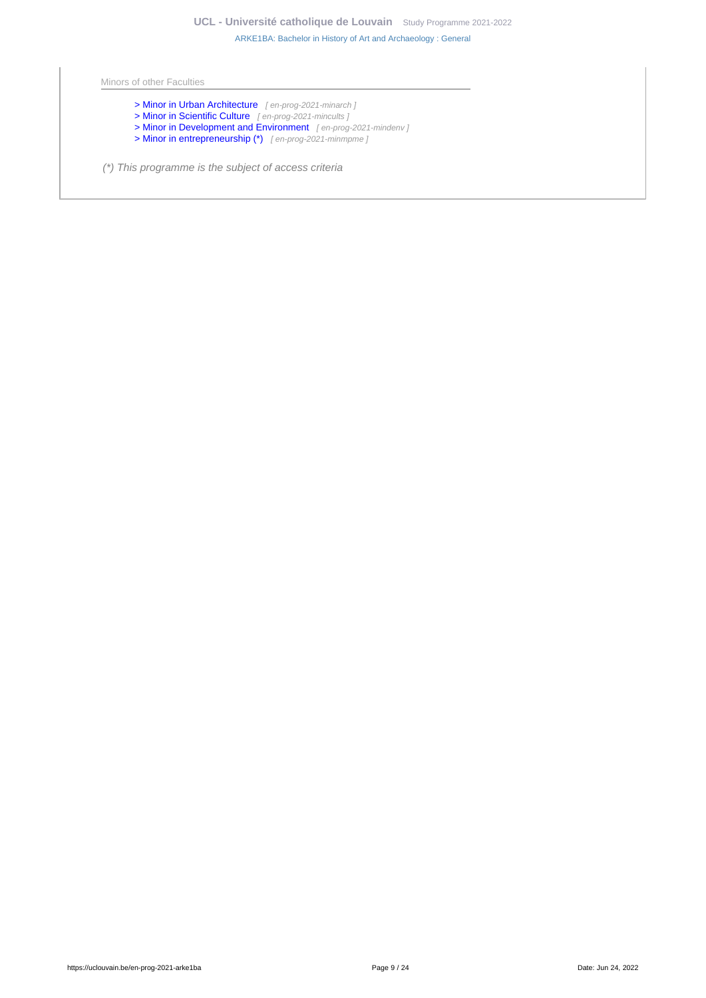Minors of other Faculties

- [> Minor in Urban Architecture](en-prog-2021-minarch) [en-prog-2021-minarch j
- [> Minor in Scientific Culture](en-prog-2021-mincults) [en-prog-2021-mincults ]
- [> Minor in Development and Environment](en-prog-2021-mindenv) [en-prog-2021-mindenv]
- [> Minor in entrepreneurship \(\\*\)](en-prog-2021-minmpme) [en-prog-2021-minmpme]
- (\*) This programme is the subject of access criteria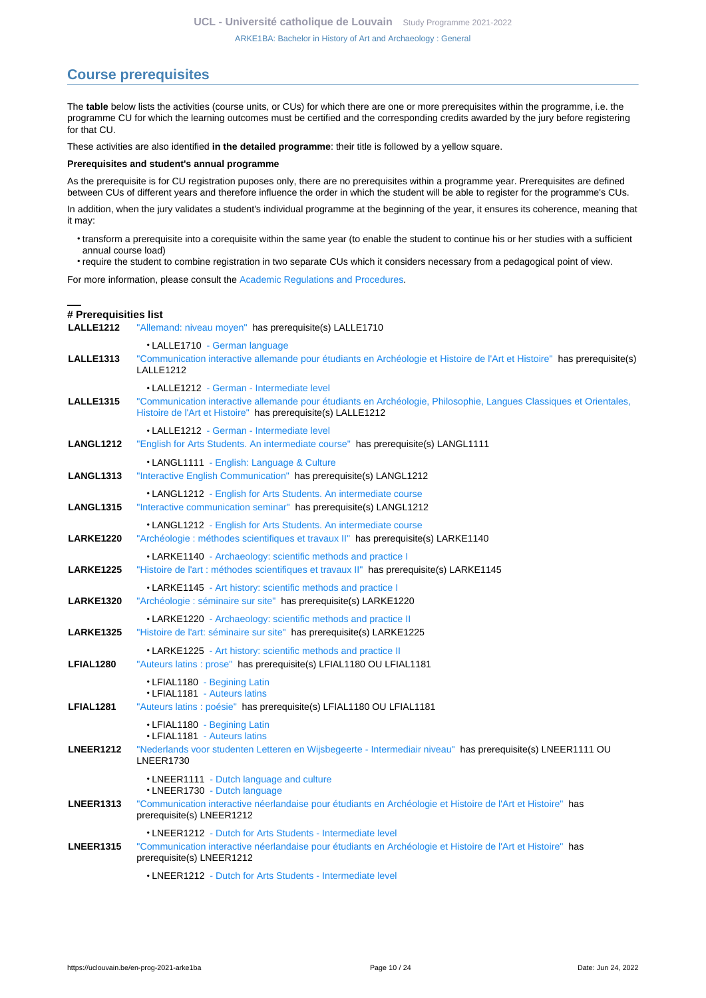# <span id="page-9-0"></span>**Course prerequisites**

The **table** below lists the activities (course units, or CUs) for which there are one or more prerequisites within the programme, i.e. the programme CU for which the learning outcomes must be certified and the corresponding credits awarded by the jury before registering for that CU.

These activities are also identified **in the detailed programme**: their title is followed by a yellow square.

#### **Prerequisites and student's annual programme**

As the prerequisite is for CU registration puposes only, there are no prerequisites within a programme year. Prerequisites are defined between CUs of different years and therefore influence the order in which the student will be able to register for the programme's CUs.

In addition, when the jury validates a student's individual programme at the beginning of the year, it ensures its coherence, meaning that it may:

- transform a prerequisite into a corequisite within the same year (to enable the student to continue his or her studies with a sufficient annual course load)
- require the student to combine registration in two separate CUs which it considers necessary from a pedagogical point of view.

For more information, please consult the [Academic Regulations and Procedures](https://uclouvain.be/fr/decouvrir/rgee.html).

### **# Prerequisities list**

**LALLE1212** ["Allemand: niveau moyen"](https://uclouvain.be/en-cours-2021-LALLE1212) has prerequisite(s) LALLE1710

| <b>LALLE1313</b> | • LALLE1710 - German language<br>"Communication interactive allemande pour étudiants en Archéologie et Histoire de l'Art et Histoire" has prerequisite(s)<br>LALLE1212                                                          |
|------------------|---------------------------------------------------------------------------------------------------------------------------------------------------------------------------------------------------------------------------------|
| <b>LALLE1315</b> | • LALLE1212 - German - Intermediate level<br>"Communication interactive allemande pour étudiants en Archéologie, Philosophie, Langues Classiques et Orientales,<br>Histoire de l'Art et Histoire" has prerequisite(s) LALLE1212 |
| <b>LANGL1212</b> | • LALLE1212 - German - Intermediate level<br>"English for Arts Students. An intermediate course" has prerequisite(s) LANGL1111                                                                                                  |
| <b>LANGL1313</b> | •LANGL1111 - English: Language & Culture<br>"Interactive English Communication" has prerequisite(s) LANGL1212                                                                                                                   |
| <b>LANGL1315</b> | • LANGL1212 - English for Arts Students. An intermediate course<br>"Interactive communication seminar" has prerequisite(s) LANGL1212                                                                                            |
| <b>LARKE1220</b> | • LANGL1212 - English for Arts Students. An intermediate course<br>"Archéologie : méthodes scientifiques et travaux II" has prerequisite(s) LARKE1140                                                                           |
| <b>LARKE1225</b> | • LARKE1140 - Archaeology: scientific methods and practice I<br>"Histoire de l'art : méthodes scientifiques et travaux II" has prerequisite(s) LARKE1145                                                                        |
| <b>LARKE1320</b> | • LARKE1145 - Art history: scientific methods and practice I<br>"Archéologie : séminaire sur site" has prerequisite(s) LARKE1220                                                                                                |
| <b>LARKE1325</b> | • LARKE1220 - Archaeology: scientific methods and practice II<br>"Histoire de l'art: séminaire sur site" has prerequisite(s) LARKE1225                                                                                          |
| LFIAL1280        | • LARKE1225 - Art history: scientific methods and practice II<br>"Auteurs latins : prose" has prerequisite(s) LFIAL1180 OU LFIAL1181                                                                                            |
| LFIAL1281        | • LFIAL1180 - Begining Latin<br>• LFIAL1181 - Auteurs latins<br>"Auteurs latins : poésie" has prerequisite(s) LFIAL1180 OU LFIAL1181                                                                                            |
| <b>LNEER1212</b> | • LFIAL1180 - Begining Latin<br>• LFIAL1181 - Auteurs latins<br>"Nederlands voor studenten Letteren en Wijsbegeerte - Intermediair niveau" has prerequisite(s) LNEER1111 OU<br><b>LNEER1730</b>                                 |
|                  | •LNEER1111 - Dutch language and culture<br>•LNEER1730 - Dutch language                                                                                                                                                          |
| <b>LNEER1313</b> | "Communication interactive néerlandaise pour étudiants en Archéologie et Histoire de l'Art et Histoire" has<br>prerequisite(s) LNEER1212                                                                                        |
| <b>LNEER1315</b> | • LNEER1212 - Dutch for Arts Students - Intermediate level<br>"Communication interactive néerlandaise pour étudiants en Archéologie et Histoire de l'Art et Histoire" has<br>prerequisite(s) LNEER1212                          |
|                  | • LNEER1212 - Dutch for Arts Students - Intermediate level                                                                                                                                                                      |
|                  |                                                                                                                                                                                                                                 |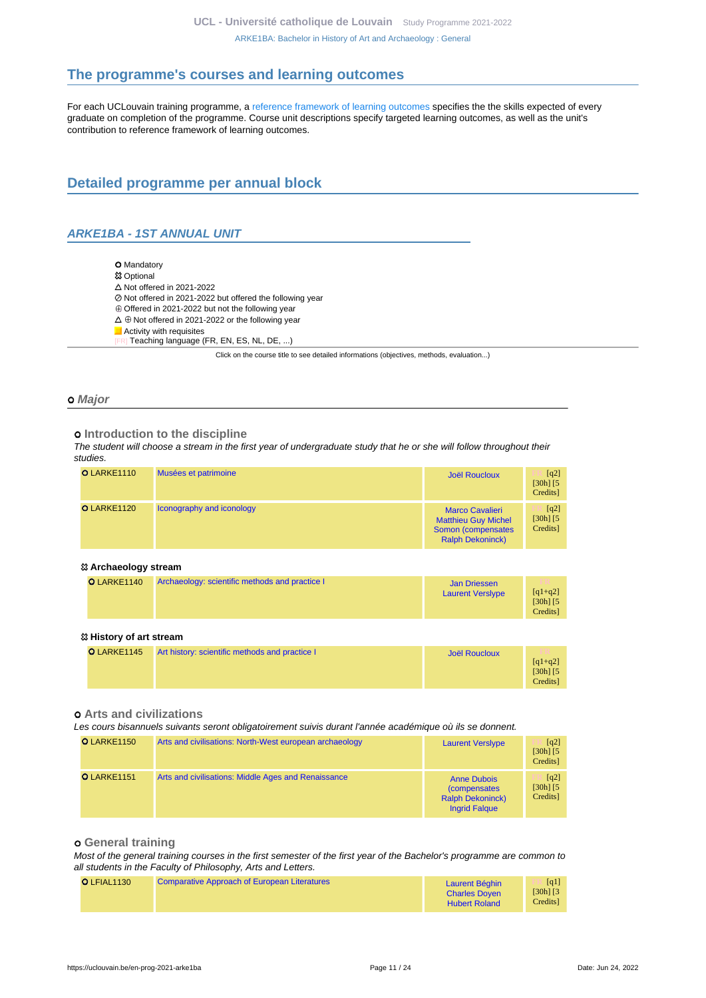# <span id="page-10-0"></span>**The programme's courses and learning outcomes**

For each UCLouvain training programme, a [reference framework of learning outcomes](https://uclouvain.be/en-prog-2021-arke1ba-competences_et_acquis.html) specifies the the skills expected of every graduate on completion of the programme. Course unit descriptions specify targeted learning outcomes, as well as the unit's contribution to reference framework of learning outcomes.

# <span id="page-10-1"></span>**Detailed programme per annual block**

# <span id="page-10-2"></span>**ARKE1BA - 1ST ANNUAL UNIT**

O Mandatory **83 Optional**  $\Delta$  Not offered in 2021-2022 Not offered in 2021-2022 but offered the following year  $\oplus$  Offered in 2021-2022 but not the following year  $\Delta \oplus$  Not offered in 2021-2022 or the following year **Activity with requisites** Teaching language (FR, EN, ES, NL, DE, ...)

Click on the course title to see detailed informations (objectives, methods, evaluation...)

#### **Major**

#### $o$  Introduction to the discipline

The student will choose a stream in the first year of undergraduate study that he or she will follow throughout their studies.

| O LARKE1110 | Musées et patrimoine      | <b>Joël Roucloux</b>                                                                                  | $\lceil q^2 \rceil$<br>$[30h]$ $[5]$<br>Credits] |
|-------------|---------------------------|-------------------------------------------------------------------------------------------------------|--------------------------------------------------|
| O LARKE1120 | Iconography and iconology | <b>Marco Cavalieri</b><br><b>Matthieu Guy Michel</b><br>Somon (compensates<br><b>Ralph Dekoninck)</b> | [q2]<br>$[30h]$ $[5]$<br>Credits]                |

#### **Archaeology stream**

| O LARKE1140 | Archaeology: scientific methods and practice I | Jan Driessen<br><b>Laurent Versiype</b> | TR.<br>$[q1+q2]$<br>$[30h]$ $[5]$<br>Credits] |
|-------------|------------------------------------------------|-----------------------------------------|-----------------------------------------------|
|-------------|------------------------------------------------|-----------------------------------------|-----------------------------------------------|

#### **History of art stream**

| O LARKE1145 | Art history: scientific methods and practice I | Joël Roucloux | m.<br>$[q1+q2]$<br>$[30h]$ $[5]$<br>Credits] |
|-------------|------------------------------------------------|---------------|----------------------------------------------|
|-------------|------------------------------------------------|---------------|----------------------------------------------|

### **Arts and civilizations**

Les cours bisannuels suivants seront obligatoirement suivis durant l'année académique où ils se donnent.

| O LARKE1150 | Arts and civilisations: North-West european archaeology | <b>Laurent Versiype</b>                                                                       | $\lceil q^2 \rceil$<br>$[30h]$ $[5]$<br>Credits] |
|-------------|---------------------------------------------------------|-----------------------------------------------------------------------------------------------|--------------------------------------------------|
| O LARKE1151 | Arts and civilisations: Middle Ages and Renaissance     | <b>Anne Dubois</b><br><i>(compensates)</i><br><b>Ralph Dekoninck)</b><br><b>Ingrid Falgue</b> | $\lceil q^2 \rceil$<br>$[30h]$ $[5]$<br>Credits] |

#### **General training**

Most of the general training courses in the first semester of the first year of the Bachelor's programme are common to all students in the Faculty of Philosophy, Arts and Letters.

| O LFIAL1130 | <b>Comparative Approach of European Literatures</b> | Laurent Béghin<br><b>Charles Doven</b> | $\lceil q_1 \rceil$<br>$[30h]$ $[3]$<br>Credits |
|-------------|-----------------------------------------------------|----------------------------------------|-------------------------------------------------|
|             |                                                     | <b>Hubert Roland</b>                   |                                                 |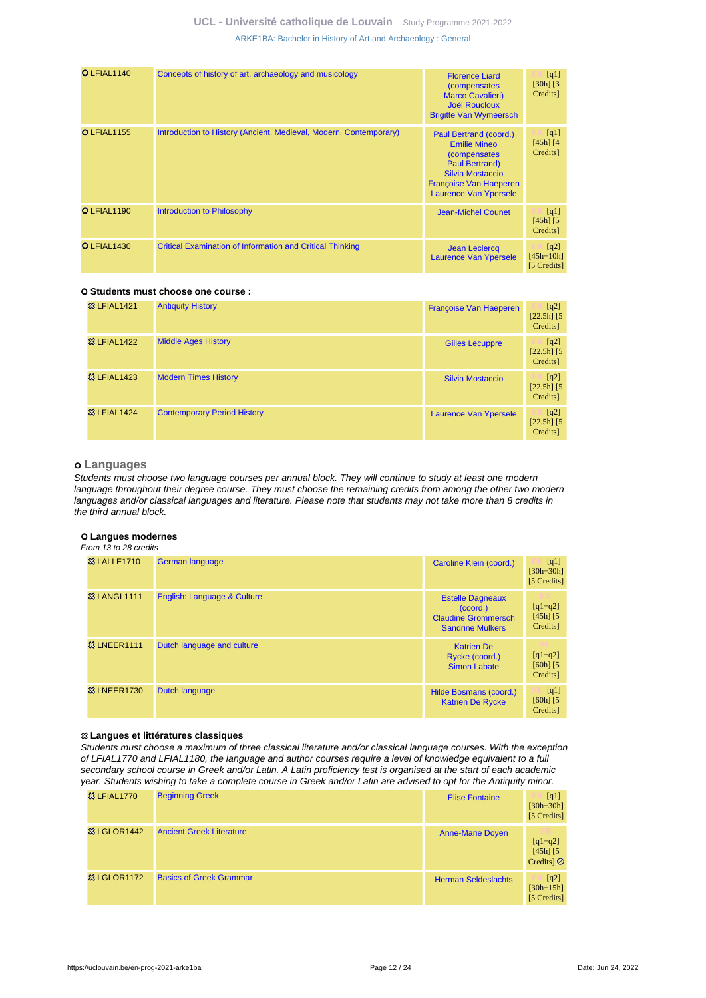| O LFIAL1140        | Concepts of history of art, archaeology and musicology            | <b>Florence Liard</b><br><i>(compensates)</i><br><b>Marco Cavalieri)</b><br><b>Joël Roucloux</b><br><b>Brigitte Van Wymeersch</b>                                                   | [q1]<br>$[30h]$ $[3]$<br>Credits]  |
|--------------------|-------------------------------------------------------------------|-------------------------------------------------------------------------------------------------------------------------------------------------------------------------------------|------------------------------------|
| <b>O</b> LFIAL1155 | Introduction to History (Ancient, Medieval, Modern, Contemporary) | Paul Bertrand (coord.)<br><b>Emilie Mineo</b><br><i>(compensates)</i><br><b>Paul Bertrand)</b><br>Silvia Mostaccio<br><b>Francoise Van Haeperen</b><br><b>Laurence Van Ypersele</b> | [q1]<br>$[45h]$ $[4]$<br>Credits]  |
| O LFIAL1190        | <b>Introduction to Philosophy</b>                                 | <b>Jean-Michel Counet</b>                                                                                                                                                           | [q1]<br>$[45h]$ $[5]$<br>Credits]  |
| O LFIAL1430        | <b>Critical Examination of Information and Critical Thinking</b>  | <b>Jean Leclercq</b><br><b>Laurence Van Ypersele</b>                                                                                                                                | [q2]<br>$[45h+10h]$<br>[5 Credits] |

### **Students must choose one course :**

| <b>83 LFIAL1421</b>    | <b>Antiquity History</b>           | Françoise Van Haeperen | [q2]<br>$[22.5h]$ [5]<br>Credits] |
|------------------------|------------------------------------|------------------------|-----------------------------------|
| <b>&amp; LFIAL1422</b> | <b>Middle Ages History</b>         | <b>Gilles Lecuppre</b> | [q2]<br>$[22.5h]$ [5]<br>Credits] |
| <b>&amp; LFIAL1423</b> | <b>Modern Times History</b>        | Silvia Mostaccio       | [q2]<br>$[22.5h]$ [5]<br>Credits] |
| <b>&amp; LFIAL1424</b> | <b>Contemporary Period History</b> | Laurence Van Ypersele  | [q2]<br>$[22.5h]$ [5]<br>Credits] |

#### **Languages**

Students must choose two language courses per annual block. They will continue to study at least one modern language throughout their degree course. They must choose the remaining credits from among the other two modern languages and/or classical languages and literature. Please note that students may not take more than 8 credits in the third annual block.

#### **Langues modernes**

From 13 to 28 credits

| <b>&amp;3 LALLE1710</b> | German language             | Caroline Klein (coord.)                                                                      | [q1]<br>$[30h + 30h]$<br>[5 Credits]   |
|-------------------------|-----------------------------|----------------------------------------------------------------------------------------------|----------------------------------------|
| <b>&amp;3 LANGL1111</b> | English: Language & Culture | <b>Estelle Dagneaux</b><br>(coord.)<br><b>Claudine Grommersch</b><br><b>Sandrine Mulkers</b> | $[q1+q2]$<br>$[45h]$ $[5]$<br>Credits] |
| <b>&amp; LNEER1111</b>  | Dutch language and culture  | <b>Katrien De</b><br>Rycke (coord.)<br><b>Simon Labate</b>                                   | $[q1+q2]$<br>$[60h]$ $[5]$<br>Credits] |
| <b>&amp; LNEER1730</b>  | <b>Dutch language</b>       | Hilde Bosmans (coord.)<br><b>Katrien De Rycke</b>                                            | [q1]<br>$[60h]$ $[5]$<br>Credits]      |

#### **Langues et littératures classiques**

Students must choose a maximum of three classical literature and/or classical language courses. With the exception of LFIAL1770 and LFIAL1180, the language and author courses require a level of knowledge equivalent to a full secondary school course in Greek and/or Latin. A Latin proficiency test is organised at the start of each academic year. Students wishing to take a complete course in Greek and/or Latin are advised to opt for the Antiquity minor.

| <b>&amp;3 LFIAL1770</b> | <b>Beginning Greek</b>          | <b>Elise Fontaine</b>      | [q1]<br>$[30h + 30h]$<br>[5 Credits]                    |
|-------------------------|---------------------------------|----------------------------|---------------------------------------------------------|
| <b>&amp; LGLOR1442</b>  | <b>Ancient Greek Literature</b> | <b>Anne-Marie Doyen</b>    | 372<br>$[q1+q2]$<br>$[45h]$ $[5]$<br>Credits] $\oslash$ |
| <b>&amp; LGLOR1172</b>  | <b>Basics of Greek Grammar</b>  | <b>Herman Seldeslachts</b> | [q2]<br>$[30h+15h]$<br>[5 Credits]                      |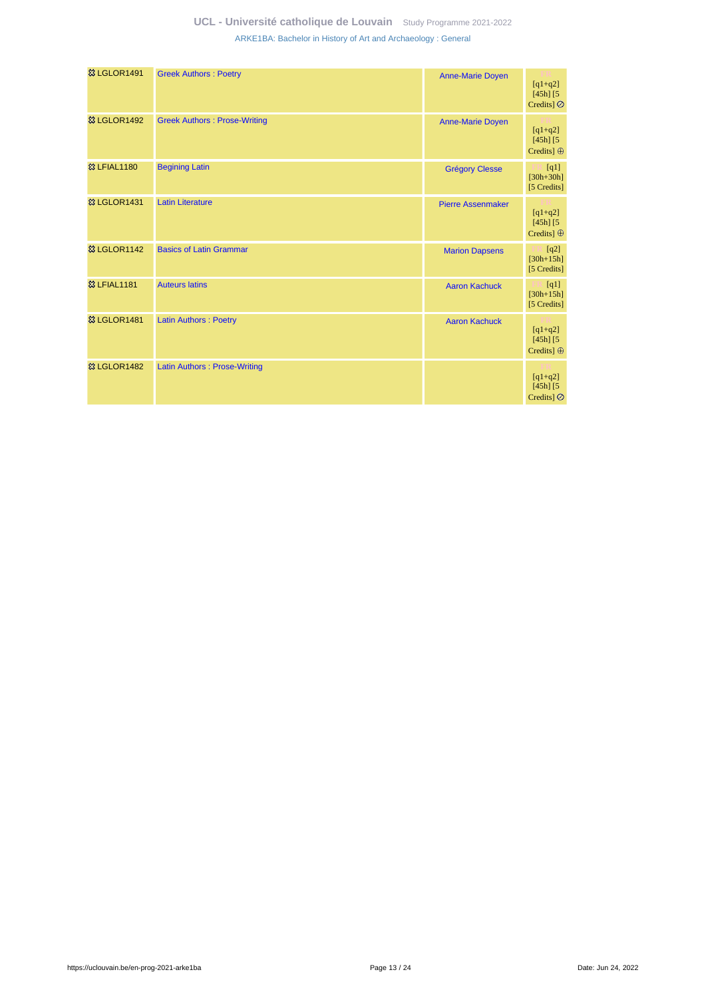| <b>惢 LGLOR1491</b>      | <b>Greek Authors: Poetry</b>        | <b>Anne-Marie Doyen</b>  | $[q1+q2]$<br>$[45h]$ $[5$<br>Credits $\odot$    |
|-------------------------|-------------------------------------|--------------------------|-------------------------------------------------|
| <b>&amp; LGLOR1492</b>  | <b>Greek Authors: Prose-Writing</b> | <b>Anne-Marie Doyen</b>  | $[q1+q2]$<br>$[45h]$ $[5]$<br>Credits] $\oplus$ |
| <b>&amp; LFIAL1180</b>  | <b>Begining Latin</b>               | <b>Grégory Clesse</b>    | [q1]<br>$[30h + 30h]$<br>[5 Credits]            |
| <b>&amp; LGLOR1431</b>  | <b>Latin Literature</b>             | <b>Pierre Assenmaker</b> | $[q1+q2]$<br>$[45h]$ $[5]$<br>Credits] $\oplus$ |
| <b>&amp; LGLOR1142</b>  | <b>Basics of Latin Grammar</b>      | <b>Marion Dapsens</b>    | [q2]<br>$[30h + 15h]$<br>[5 Credits]            |
| <b>&amp; LFIAL1181</b>  | <b>Auteurs latins</b>               | <b>Aaron Kachuck</b>     | [q1]<br>$[30h+15h]$<br>[5 Credits]              |
| <sup>8</sup> LGLOR1481  | <b>Latin Authors: Poetry</b>        | <b>Aaron Kachuck</b>     | $[q1+q2]$<br>$[45h]$ $[5]$<br>Credits] $\oplus$ |
| <b>&amp;3 LGLOR1482</b> | <b>Latin Authors: Prose-Writing</b> |                          | $[q1+q2]$<br>$[45h]$ $[5]$<br>Credits $\odot$   |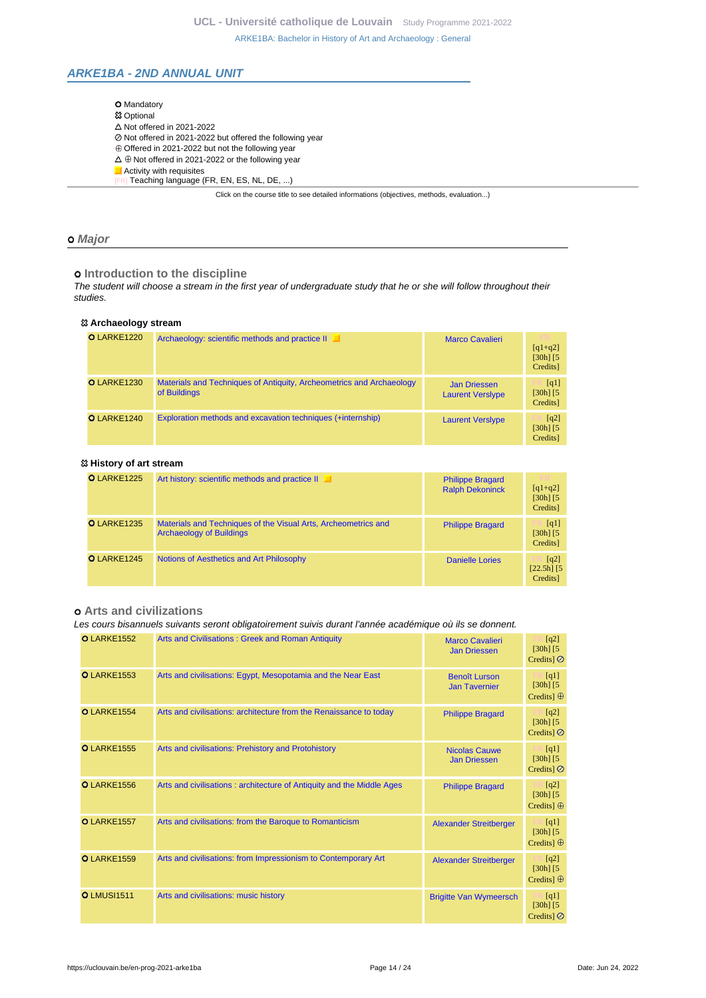# <span id="page-13-0"></span>**ARKE1BA - 2ND ANNUAL UNIT**

| <b>O</b> Mandatory                                                                       |
|------------------------------------------------------------------------------------------|
| <b>83 Optional</b>                                                                       |
| $\Delta$ Not offered in 2021-2022                                                        |
| ⊘ Not offered in 2021-2022 but offered the following year                                |
| $\oplus$ Offered in 2021-2022 but not the following year                                 |
| $\Delta \oplus$ Not offered in 2021-2022 or the following year                           |
| Activity with requisites                                                                 |
| Teaching language (FR, EN, ES, NL, DE, )                                                 |
| Click on the course title to see detailed informations (objectives, methods, evaluation) |

### **Major**

 $o$  Introduction to the discipline

The student will choose a stream in the first year of undergraduate study that he or she will follow throughout their studies.

| <sup>23</sup> Archaeology stream |                                                                                      |                                                |                                                        |
|----------------------------------|--------------------------------------------------------------------------------------|------------------------------------------------|--------------------------------------------------------|
| <b>O</b> LARKE1220               | Archaeology: scientific methods and practice II                                      | <b>Marco Cavalieri</b>                         | $[q1+q2]$<br>$[30h]$ $[5]$<br>Credits]                 |
| <b>O</b> LARKE1230               | Materials and Techniques of Antiquity, Archeometrics and Archaeology<br>of Buildings | <b>Jan Driessen</b><br><b>Laurent Verslype</b> | $\lceil q_1 \rceil$<br>$[30h]$ $[5]$<br>Credits]       |
| O LARKE1240                      | Exploration methods and excavation techniques (+internship)                          | <b>Laurent Versiype</b>                        | $\lceil q^2 \rceil$<br>$[30h]$ $[5]$<br><b>Credits</b> |

### **History of art stream**

| O LARKE1225        | Art history: scientific methods and practice II                                                   | <b>Philippe Bragard</b><br><b>Ralph Dekoninck</b> | m<br>$[q1+q2]$<br>$[30h]$ $[5]$                  |
|--------------------|---------------------------------------------------------------------------------------------------|---------------------------------------------------|--------------------------------------------------|
|                    |                                                                                                   |                                                   | Credits]                                         |
| <b>O</b> LARKE1235 | Materials and Techniques of the Visual Arts, Archeometrics and<br><b>Archaeology of Buildings</b> | <b>Philippe Bragard</b>                           | [q1]<br>$[30h]$ $[5]$<br>Credits]                |
| O LARKE1245        | Notions of Aesthetics and Art Philosophy                                                          | <b>Danielle Lories</b>                            | $\lceil q^2 \rceil$<br>$[22.5h]$ [5]<br>Credits] |

# **Arts and civilizations**

### Les cours bisannuels suivants seront obligatoirement suivis durant l'année académique où ils se donnent.

| <b>O</b> LARKE1552 | Arts and Civilisations: Greek and Roman Antiquity                     | <b>Marco Cavalieri</b><br><b>Jan Driessen</b> | [q2]<br>$[30h]$ [5]<br>Credits] $\oslash$                          |
|--------------------|-----------------------------------------------------------------------|-----------------------------------------------|--------------------------------------------------------------------|
| <b>O</b> LARKE1553 | Arts and civilisations: Egypt, Mesopotamia and the Near East          | <b>Benoît Lurson</b><br><b>Jan Tavernier</b>  | [q1]<br>$[30h]$ $[5]$<br>Credits] $\oplus$                         |
| O LARKE1554        | Arts and civilisations: architecture from the Renaissance to today    | <b>Philippe Bragard</b>                       | [q2]<br>$[30h]$ [5]<br>Credits $\odot$                             |
| <b>O</b> LARKE1555 | Arts and civilisations: Prehistory and Protohistory                   | <b>Nicolas Cauwe</b><br><b>Jan Driessen</b>   | $\lceil \cdot  q_1  \rceil$<br>$[30h]$ $[5]$<br>Credits] $\oslash$ |
| <b>O</b> LARKE1556 | Arts and civilisations: architecture of Antiquity and the Middle Ages | <b>Philippe Bragard</b>                       | $\Box$ [q2]<br>$[30h]$ [5]<br>Credits] $\oplus$                    |
| O LARKE1557        | Arts and civilisations: from the Baroque to Romanticism               | <b>Alexander Streitberger</b>                 | $\Box$ [q1]<br>$[30h]$ [5]<br>Credits] $\oplus$                    |
| <b>O</b> LARKE1559 | Arts and civilisations: from Impressionism to Contemporary Art        | <b>Alexander Streitberger</b>                 | [q2]<br>$[30h]$ [5]<br>Credits] $\oplus$                           |
| <b>O</b> LMUSI1511 | Arts and civilisations: music history                                 | <b>Brigitte Van Wymeersch</b>                 | [q1]<br>$[30h]$ [5]<br>Credits $\odot$                             |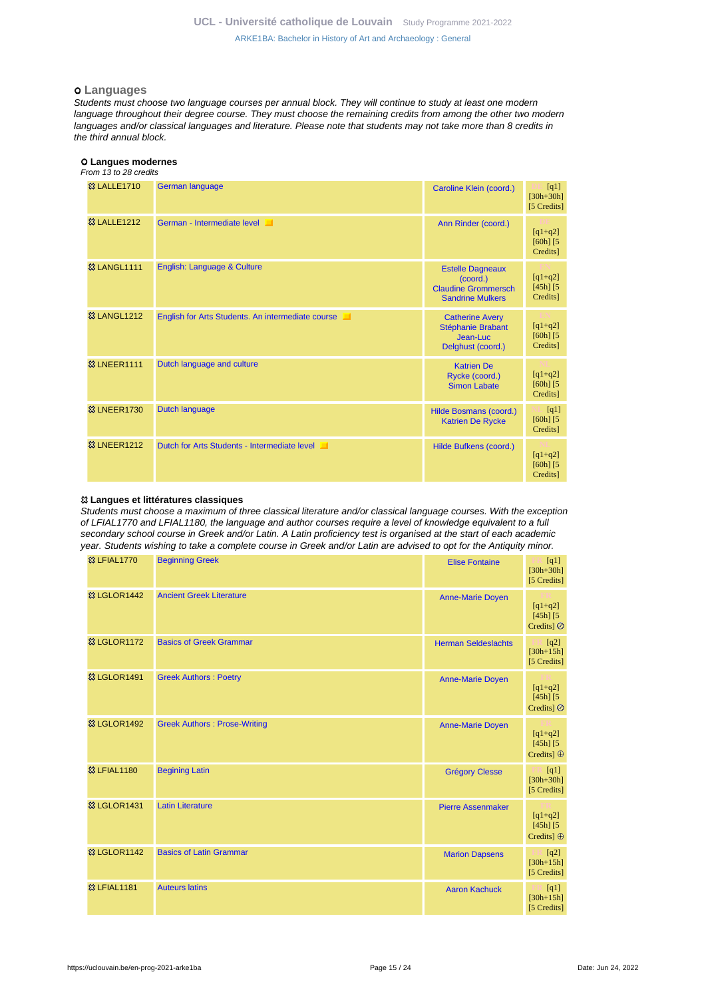#### **Languages**

Students must choose two language courses per annual block. They will continue to study at least one modern language throughout their degree course. They must choose the remaining credits from among the other two modern languages and/or classical languages and literature. Please note that students may not take more than 8 credits in the third annual block.

#### **Langues modernes**

#### From 13 to 28 credits

| <b>&amp;3 LALLE1710</b> | German language                                   | Caroline Klein (coord.)                                                                      | [q1]<br>$[30h + 30h]$<br>[5 Credits]   |
|-------------------------|---------------------------------------------------|----------------------------------------------------------------------------------------------|----------------------------------------|
| <b>83 LALLE1212</b>     | German - Intermediate level                       | Ann Rinder (coord.)                                                                          | $[q1+q2]$<br>$[60h]$ $[5$<br>Credits]  |
| <b>&amp; LANGL1111</b>  | English: Language & Culture                       | <b>Estelle Dagneaux</b><br>(coord.)<br><b>Claudine Grommersch</b><br><b>Sandrine Mulkers</b> | $[q1+q2]$<br>$[45h]$ $[5]$<br>Credits] |
| <b>&amp;3 LANGL1212</b> | English for Arts Students. An intermediate course | <b>Catherine Avery</b><br>Stéphanie Brabant<br>Jean-Luc<br>Delghust (coord.)                 | $[q1+q2]$<br>$[60h]$ $[5$<br>Credits]  |
| <b>&amp; LNEER1111</b>  | Dutch language and culture                        | <b>Katrien De</b><br>Rycke (coord.)<br><b>Simon Labate</b>                                   | $[q1+q2]$<br>$[60h]$ $[5$<br>Credits]  |
| <b>&amp; LNEER1730</b>  | Dutch language                                    | Hilde Bosmans (coord.)<br><b>Katrien De Rycke</b>                                            | [q1]<br>$[60h]$ $[5$<br>Credits]       |
| <b>&amp;3 LNEER1212</b> | Dutch for Arts Students - Intermediate level      | Hilde Bufkens (coord.)                                                                       | $[q1+q2]$<br>$[60h]$ $[5$<br>Credits]  |

### **Langues et littératures classiques**

Students must choose a maximum of three classical literature and/or classical language courses. With the exception of LFIAL1770 and LFIAL1180, the language and author courses require a level of knowledge equivalent to a full secondary school course in Greek and/or Latin. A Latin proficiency test is organised at the start of each academic year. Students wishing to take a complete course in Greek and/or Latin are advised to opt for the Antiquity minor.

| <b>&amp;3 LFIAL1770</b>  | <b>Beginning Greek</b>              | <b>Elise Fontaine</b>      | [q1]<br>$[30h + 30h]$<br>[5 Credits]             |
|--------------------------|-------------------------------------|----------------------------|--------------------------------------------------|
| <sup>33</sup> LGLOR1442  | <b>Ancient Greek Literature</b>     | <b>Anne-Marie Doyen</b>    | $[q1+q2]$<br>$[45h]$ $[5]$<br>Credits] $\oslash$ |
| <sup>3</sup> & LGLOR1172 | <b>Basics of Greek Grammar</b>      | <b>Herman Seldeslachts</b> | [q2]<br>$[30h + 15h]$<br>[5 Credits]             |
| <b>&amp; LGLOR1491</b>   | <b>Greek Authors: Poetry</b>        | <b>Anne-Marie Doyen</b>    | $[q1+q2]$<br>$[45h]$ $[5]$<br>Credits] $\oslash$ |
| <b>&amp;3 LGLOR1492</b>  | <b>Greek Authors: Prose-Writing</b> | <b>Anne-Marie Doyen</b>    | $[q1+q2]$<br>$[45h]$ $[5]$<br>Credits] $\oplus$  |
| <b>&amp;3 LFIAL1180</b>  | <b>Begining Latin</b>               | <b>Grégory Clesse</b>      | [q1]<br>$[30h + 30h]$<br>[5 Credits]             |
| <b>&amp;3 LGLOR1431</b>  | <b>Latin Literature</b>             | <b>Pierre Assenmaker</b>   | $[q1+q2]$<br>$[45h]$ $[5]$<br>Credits] $\oplus$  |
| <b>&amp; LGLOR1142</b>   | <b>Basics of Latin Grammar</b>      | <b>Marion Dapsens</b>      | [q2]<br>$[30h+15h]$<br>[5 Credits]               |
| <b>&amp;3 LFIAL1181</b>  | <b>Auteurs latins</b>               | <b>Aaron Kachuck</b>       | [q1]<br>m<br>$[30h + 15h]$<br>[5 Credits]        |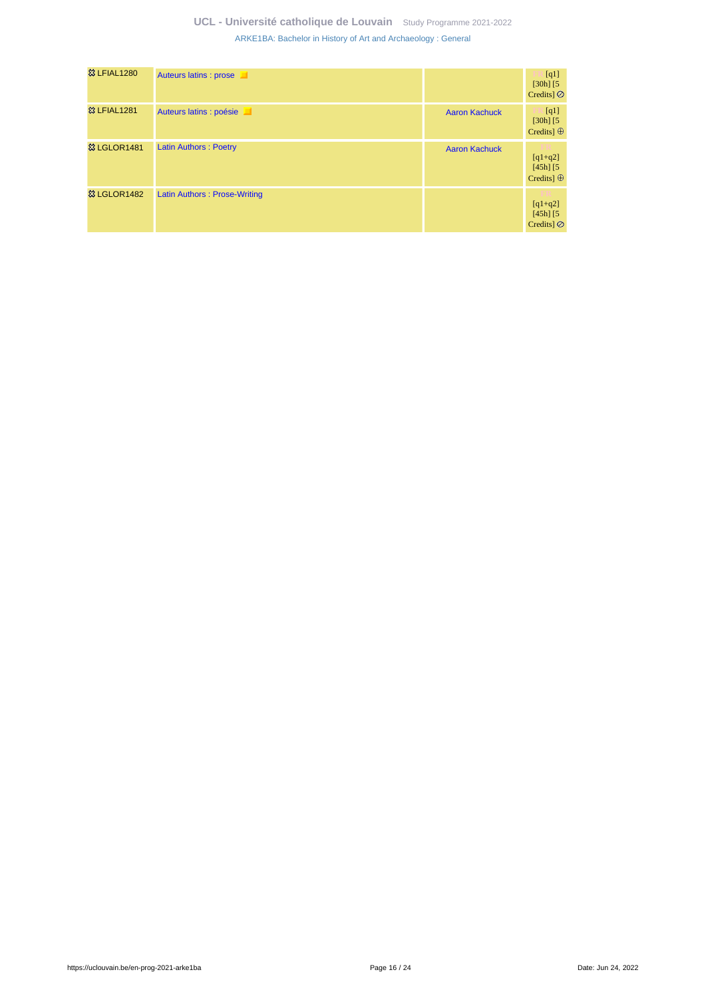| <b>&amp; LFIAL1280</b>  | Auteurs latins : prose       |                      | [q1]<br>$[30h]$ $[5]$<br>Credits] $\oslash$     |
|-------------------------|------------------------------|----------------------|-------------------------------------------------|
| <b>&amp;3 LFIAL1281</b> | Auteurs latins : poésie      | <b>Aaron Kachuck</b> | [q1]<br>$[30h]$ $[5]$<br>Credits] $\oplus$      |
| <b>&amp; LGLOR1481</b>  | <b>Latin Authors: Poetry</b> | <b>Aaron Kachuck</b> | $[q1+q2]$<br>$[45h]$ $[5]$<br>Credits] $\oplus$ |
| <b>&amp; LGLOR1482</b>  | Latin Authors: Prose-Writing |                      | $[q1+q2]$<br>$[45h]$ $[5]$<br>Credits $\odot$   |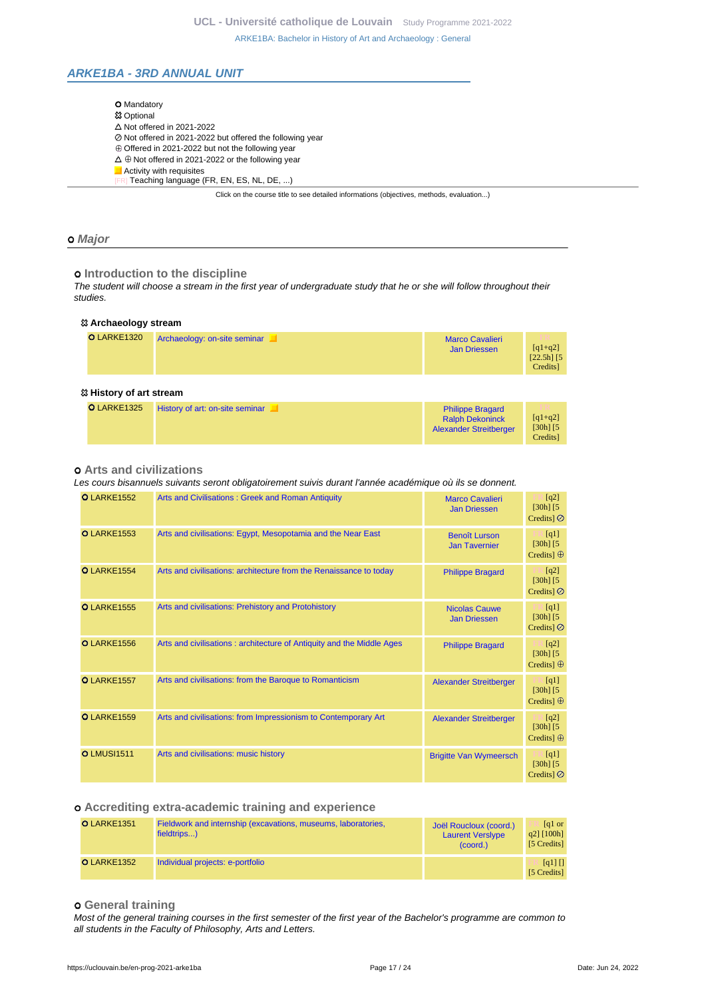# <span id="page-16-0"></span>**ARKE1BA - 3RD ANNUAL UNIT**

| <b>O</b> Mandatory                                                                       |
|------------------------------------------------------------------------------------------|
| <b>83 Optional</b>                                                                       |
| $\triangle$ Not offered in 2021-2022                                                     |
| ⊘ Not offered in 2021-2022 but offered the following year                                |
| $\oplus$ Offered in 2021-2022 but not the following year                                 |
| $\Delta \oplus$ Not offered in 2021-2022 or the following year                           |
| Activity with requisites                                                                 |
| Teaching language (FR, EN, ES, NL, DE, )                                                 |
| Click on the course title to see detailed informations (objectives, methods, evaluation) |

#### **Major**

 $o$  **Introduction to the discipline** 

The student will choose a stream in the first year of undergraduate study that he or she will follow throughout their studies.

| <sup>23</sup> Archaeology stream |                              |                                               |                                                 |  |  |
|----------------------------------|------------------------------|-----------------------------------------------|-------------------------------------------------|--|--|
| <b>O</b> LARKE1320               | Archaeology: on-site seminar | <b>Marco Cavalieri</b><br><b>Jan Driessen</b> | TR.<br>$[q1+q2]$<br>$[22.5h]$ $[5]$<br>Credits] |  |  |
|                                  |                              |                                               |                                                 |  |  |

### **History of art stream**

| O LARKE1325 | History of art: on-site seminar | <b>Philippe Bragard</b><br><b>Ralph Dekoninck</b><br><b>Alexander Streitberger</b> | TR.<br>$[q1+q2]$<br>$[30h]$ $[5]$<br>Credits |
|-------------|---------------------------------|------------------------------------------------------------------------------------|----------------------------------------------|
|-------------|---------------------------------|------------------------------------------------------------------------------------|----------------------------------------------|

### **Arts and civilizations**

Les cours bisannuels suivants seront obligatoirement suivis durant l'année académique où ils se donnent.

| <b>O</b> LARKE1552 | Arts and Civilisations: Greek and Roman Antiquity                     | <b>Marco Cavalieri</b><br><b>Jan Driessen</b> | [q2]<br>$[30h]$ $[5]$<br>Credits $\odot$                  |
|--------------------|-----------------------------------------------------------------------|-----------------------------------------------|-----------------------------------------------------------|
| <b>O</b> LARKE1553 | Arts and civilisations: Egypt, Mesopotamia and the Near East          | <b>Benoît Lurson</b><br><b>Jan Tavernier</b>  | $\lceil q_1 \rceil$<br>$[30h]$ $[5]$<br>Credits] $\oplus$ |
| O LARKE1554        | Arts and civilisations: architecture from the Renaissance to today    | <b>Philippe Bragard</b>                       | [q2]<br>$[30h]$ $[5]$<br>Credits $\odot$                  |
| <b>O</b> LARKE1555 | Arts and civilisations: Prehistory and Protohistory                   | <b>Nicolas Cauwe</b><br><b>Jan Driessen</b>   | [q1]<br>$[30h]$ $[5]$<br>Credits $\odot$                  |
| <b>O</b> LARKE1556 | Arts and civilisations: architecture of Antiquity and the Middle Ages | <b>Philippe Bragard</b>                       | [q2]<br>$[30h]$ $[5]$<br>Credits] $\oplus$                |
| O LARKE1557        | Arts and civilisations: from the Baroque to Romanticism               | <b>Alexander Streitberger</b>                 | [q1]<br>$[30h]$ $[5]$<br>Credits] $\oplus$                |
| <b>O</b> LARKE1559 | Arts and civilisations: from Impressionism to Contemporary Art        | <b>Alexander Streitberger</b>                 | [q2]<br>$[30h]$ $[5]$<br>Credits] $\oplus$                |
| <b>OLMUSI1511</b>  | Arts and civilisations: music history                                 | <b>Brigitte Van Wymeersch</b>                 | [q1]<br>$[30h]$ $[5]$<br>Credits $\odot$                  |

### **Accrediting extra-academic training and experience**

| <b>O</b> LARKE1351 | Fieldwork and internship (excavations, museums, laboratories,<br>fieldtrips) | Joël Roucloux (coord.)<br><b>Laurent Versiype</b><br>(coord.) | $\lceil a \rceil$ or<br>$q2$ ] [100h]<br>[5 Credits] |
|--------------------|------------------------------------------------------------------------------|---------------------------------------------------------------|------------------------------------------------------|
| <b>O</b> LARKE1352 | Individual projects: e-portfolio                                             |                                                               | $\lceil q1 \rceil \rceil$<br>[5 Credits]             |

### **General training**

Most of the general training courses in the first semester of the first year of the Bachelor's programme are common to all students in the Faculty of Philosophy, Arts and Letters.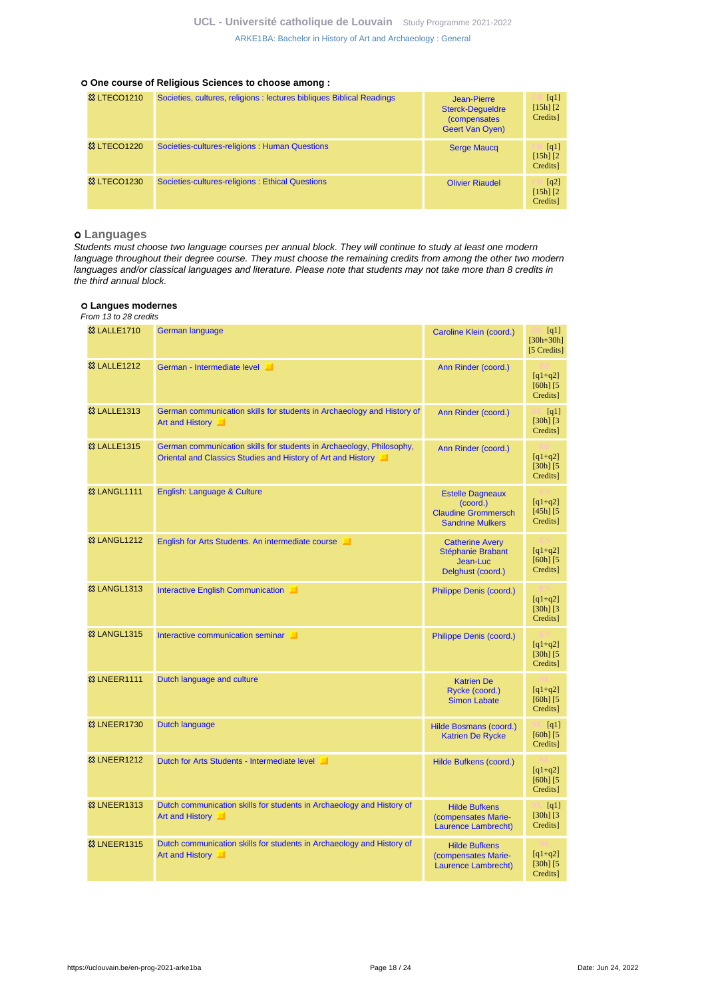#### **One course of Religious Sciences to choose among :**

| <b>&amp; LTECO1210</b> | Societies, cultures, religions : lectures bibliques Biblical Readings | Jean-Pierre<br><b>Sterck-Dequeldre</b><br>(compensates<br><b>Geert Van Oven)</b> | [q1]<br>$[15h]$ $[2]$<br>Credits] |
|------------------------|-----------------------------------------------------------------------|----------------------------------------------------------------------------------|-----------------------------------|
| <b>&amp; LTECO1220</b> | Societies-cultures-religions: Human Questions                         | <b>Serge Maucq</b>                                                               | [q1]<br>$[15h]$ $[2]$<br>Credits] |
| <b>&amp; LTECO1230</b> | Societies-cultures-religions: Ethical Questions                       | <b>Olivier Riaudel</b>                                                           | [q2]<br>$[15h]$ $[2]$<br>Credits] |

### **Languages**

Students must choose two language courses per annual block. They will continue to study at least one modern language throughout their degree course. They must choose the remaining credits from among the other two modern languages and/or classical languages and literature. Please note that students may not take more than 8 credits in the third annual block.

### **Langues modernes**

From 13 to 28 credits

| <sup>33</sup> LALLE1710 | German language                                                                                                                      | Caroline Klein (coord.)                                                                      | $\lceil q_1 \rceil$<br>$[30h + 30h]$<br>[5 Credits] |
|-------------------------|--------------------------------------------------------------------------------------------------------------------------------------|----------------------------------------------------------------------------------------------|-----------------------------------------------------|
| <b>83 LALLE1212</b>     | German - Intermediate level                                                                                                          | Ann Rinder (coord.)                                                                          | $[q1+q2]$<br>$[60h]$ $[5]$<br>Credits]              |
| <b>83 LALLE1313</b>     | German communication skills for students in Archaeology and History of<br>Art and History                                            | Ann Rinder (coord.)                                                                          | [q1]<br>$[30h]$ $[3]$<br>Credits]                   |
| <b>83 LALLE1315</b>     | German communication skills for students in Archaeology, Philosophy,<br>Oriental and Classics Studies and History of Art and History | Ann Rinder (coord.)                                                                          | $[q1+q2]$<br>$[30h]$ $[5]$<br>Credits]              |
| <b>&amp;3 LANGL1111</b> | English: Language & Culture                                                                                                          | <b>Estelle Dagneaux</b><br>(coord.)<br><b>Claudine Grommersch</b><br><b>Sandrine Mulkers</b> | $[q1+q2]$<br>$[45h]$ $[5]$<br>Credits]              |
| <b>&amp; LANGL1212</b>  | English for Arts Students. An intermediate course                                                                                    | <b>Catherine Avery</b><br>Stéphanie Brabant<br>Jean-Luc<br>Delghust (coord.)                 | $[q1+q2]$<br>$[60h]$ $[5]$<br>Credits]              |
| <b>&amp;3 LANGL1313</b> | Interactive English Communication                                                                                                    | Philippe Denis (coord.)                                                                      | $[q1+q2]$<br>$[30h]$ $[3]$<br>Credits]              |
| <b>&amp;3 LANGL1315</b> | Interactive communication seminar                                                                                                    | Philippe Denis (coord.)                                                                      | $[q1+q2]$<br>$[30h]$ $[5]$<br>Credits]              |
| <b>&amp; LNEER1111</b>  | Dutch language and culture                                                                                                           | <b>Katrien De</b><br>Rycke (coord.)<br><b>Simon Labate</b>                                   | $[q1+q2]$<br>$[60h]$ $[5]$<br>Credits]              |
| <b>&amp; LNEER1730</b>  | <b>Dutch language</b>                                                                                                                | Hilde Bosmans (coord.)<br><b>Katrien De Rycke</b>                                            | [q1]<br>$[60h]$ $[5]$<br>Credits]                   |
| <b>&amp; LNEER1212</b>  | Dutch for Arts Students - Intermediate level                                                                                         | Hilde Bufkens (coord.)                                                                       | $[q1+q2]$<br>$[60h]$ $[5]$<br>Credits]              |
| <b>&amp; LNEER1313</b>  | Dutch communication skills for students in Archaeology and History of<br>Art and History                                             | <b>Hilde Bufkens</b><br>(compensates Marie-<br>Laurence Lambrecht)                           | [q1]<br>$[30h]$ $[3]$<br>Credits]                   |
| <b>&amp; LNEER1315</b>  | Dutch communication skills for students in Archaeology and History of<br>Art and History                                             | <b>Hilde Bufkens</b><br>(compensates Marie-<br>Laurence Lambrecht)                           | $[q1+q2]$<br>$[30h]$ $[5]$<br>Credits]              |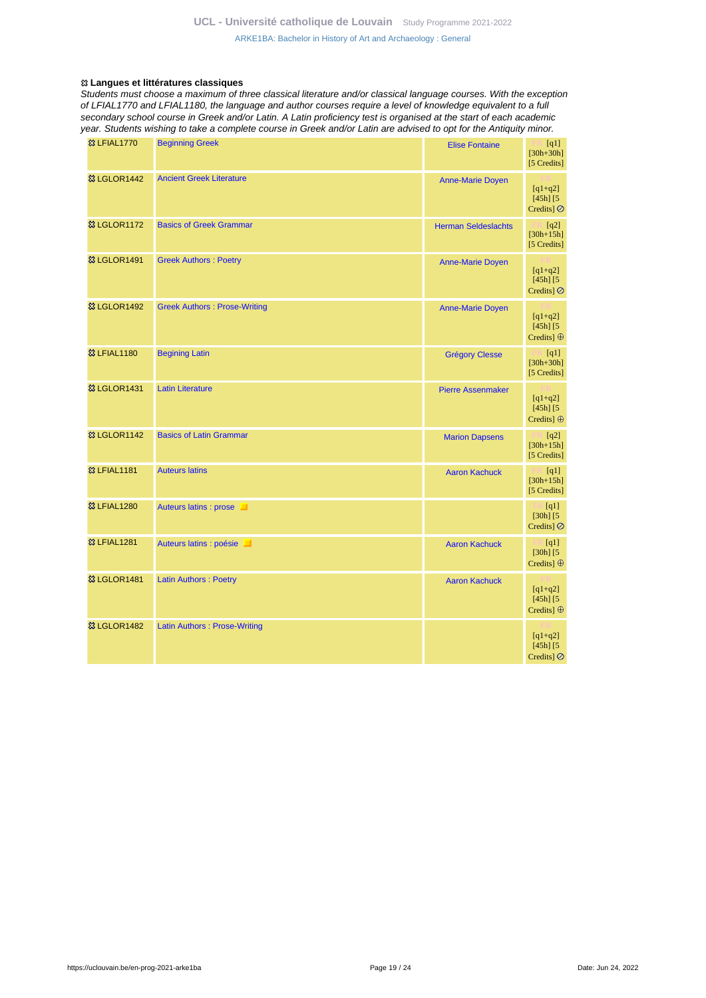#### **Langues et littératures classiques**

Students must choose a maximum of three classical literature and/or classical language courses. With the exception of LFIAL1770 and LFIAL1180, the language and author courses require a level of knowledge equivalent to a full secondary school course in Greek and/or Latin. A Latin proficiency test is organised at the start of each academic year. Students wishing to take a complete course in Greek and/or Latin are advised to opt for the Antiquity minor.

| <b>&amp; LFIAL1770</b>   | <b>Beginning Greek</b>              | <b>Elise Fontaine</b>      | [q1]<br>$[30h + 30h]$<br>[5 Credits]                     |
|--------------------------|-------------------------------------|----------------------------|----------------------------------------------------------|
| <b>&amp; LGLOR1442</b>   | <b>Ancient Greek Literature</b>     | <b>Anne-Marie Doyen</b>    | $[q1+q2]$<br>$[45h]$ $[5]$<br>Credits] Ø                 |
| <sup>3</sup> & LGLOR1172 | <b>Basics of Greek Grammar</b>      | <b>Herman Seldeslachts</b> | $\mathbb{F}$ [q2]<br>$[30h + 15h]$<br>[5 Credits]        |
| <sup>3</sup> & LGLOR1491 | <b>Greek Authors: Poetry</b>        | <b>Anne-Marie Doyen</b>    | $[q1+q2]$<br>$[45h]$ $[5]$<br>Credits] $\oslash$         |
| <sup>3</sup> LGLOR1492   | <b>Greek Authors: Prose-Writing</b> | <b>Anne-Marie Doyen</b>    | $[q1+q2]$<br>$[45h]$ $[5]$<br>Credits] $\oplus$          |
| <sup>33</sup> LFIAL1180  | <b>Begining Latin</b>               | <b>Grégory Clesse</b>      | $F = [q1]$<br>$[30h + 30h]$<br>[5 Credits]               |
| <b>83 LGLOR1431</b>      | <b>Latin Literature</b>             | <b>Pierre Assenmaker</b>   | $[q1+q2]$<br>$[45h]$ $[5]$<br>Credits] $\oplus$          |
| <b>惢 LGLOR1142</b>       | <b>Basics of Latin Grammar</b>      | <b>Marion Dapsens</b>      | $\Box$ [q2]<br>$[30h+15h]$<br>[5 Credits]                |
| <b>83 LFIAL1181</b>      | <b>Auteurs latins</b>               | <b>Aaron Kachuck</b>       | $\mathbb{H}$ [q1]<br>$[30h+15h]$<br>[5 Credits]          |
| <b>&amp; LFIAL1280</b>   | Auteurs latins : prose              |                            | $\mathbb{Z}$ [q1]<br>$[30h]$ $[5]$<br>Credits] $\oslash$ |
| <sup>33</sup> LFIAL1281  | Auteurs latins : poésie             | <b>Aaron Kachuck</b>       | $\Box$ [q1]<br>$[30h]$ $[5]$<br>Credits] $\oplus$        |
| <sup>3</sup> & LGLOR1481 | <b>Latin Authors: Poetry</b>        | <b>Aaron Kachuck</b>       | $[q1+q2]$<br>$[45h]$ $[5]$<br>Credits] $\oplus$          |
| <sup>33</sup> LGLOR1482  | <b>Latin Authors: Prose-Writing</b> |                            | $[q1+q2]$<br>$[45h]$ $[5]$<br>Credits] $\oslash$         |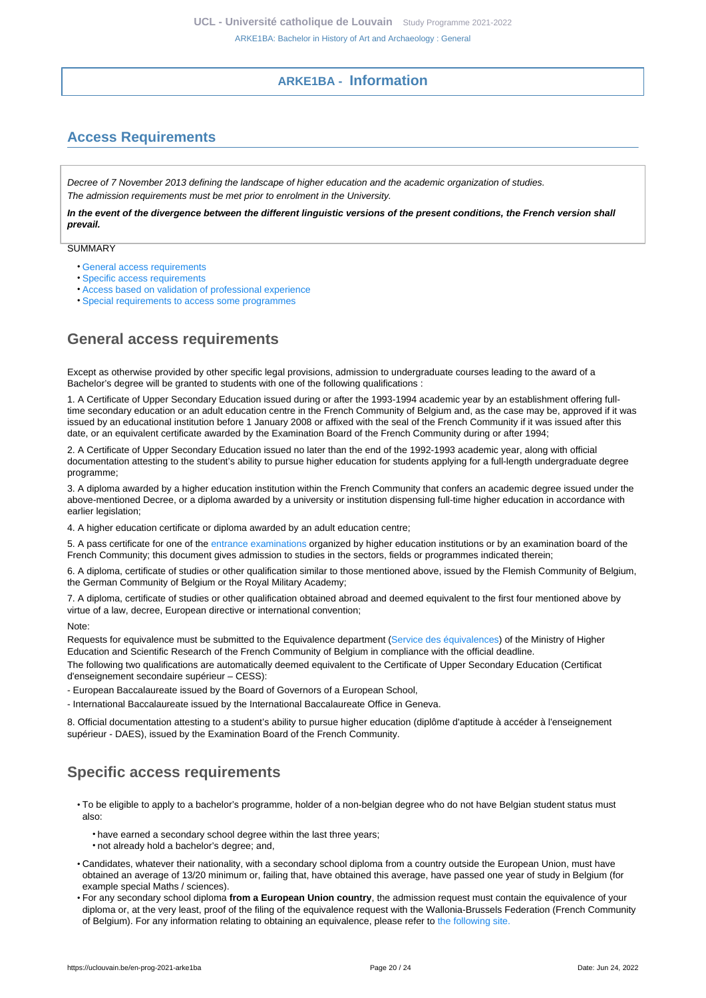# **ARKE1BA - Information**

# <span id="page-19-1"></span><span id="page-19-0"></span>**Access Requirements**

Decree of 7 November 2013 defining the landscape of higher education and the academic organization of studies. The admission requirements must be met prior to enrolment in the University.

**In the event of the divergence between the different linguistic versions of the present conditions, the French version shall prevail.**

**SUMMARY** 

- [General access requirements](#page-19-2)
- [Specific access requirements](#page-19-3)
- [Access based on validation of professional experience](#page-20-0)
- [Special requirements to access some programmes](#page-20-1)

# <span id="page-19-2"></span>**General access requirements**

Except as otherwise provided by other specific legal provisions, admission to undergraduate courses leading to the award of a Bachelor's degree will be granted to students with one of the following qualifications :

1. A Certificate of Upper Secondary Education issued during or after the 1993-1994 academic year by an establishment offering fulltime secondary education or an adult education centre in the French Community of Belgium and, as the case may be, approved if it was issued by an educational institution before 1 January 2008 or affixed with the seal of the French Community if it was issued after this date, or an equivalent certificate awarded by the Examination Board of the French Community during or after 1994;

2. A Certificate of Upper Secondary Education issued no later than the end of the 1992-1993 academic year, along with official documentation attesting to the student's ability to pursue higher education for students applying for a full-length undergraduate degree programme;

3. A diploma awarded by a higher education institution within the French Community that confers an academic degree issued under the above-mentioned Decree, or a diploma awarded by a university or institution dispensing full-time higher education in accordance with earlier legislation;

4. A higher education certificate or diploma awarded by an adult education centre;

5. A pass certificate for one of the [entrance examinations](https://uclouvain.be/fr/etudier/inscriptions/examens-admission.html) organized by higher education institutions or by an examination board of the French Community; this document gives admission to studies in the sectors, fields or programmes indicated therein;

6. A diploma, certificate of studies or other qualification similar to those mentioned above, issued by the Flemish Community of Belgium, the German Community of Belgium or the Royal Military Academy;

7. A diploma, certificate of studies or other qualification obtained abroad and deemed equivalent to the first four mentioned above by virtue of a law, decree, European directive or international convention;

Note:

Requests for equivalence must be submitted to the Equivalence department [\(Service des équivalences\)](http://www.equivalences.cfwb.be/) of the Ministry of Higher Education and Scientific Research of the French Community of Belgium in compliance with the official deadline.

The following two qualifications are automatically deemed equivalent to the Certificate of Upper Secondary Education (Certificat d'enseignement secondaire supérieur – CESS):

- European Baccalaureate issued by the Board of Governors of a European School,

- International Baccalaureate issued by the International Baccalaureate Office in Geneva.

8. Official documentation attesting to a student's ability to pursue higher education (diplôme d'aptitude à accéder à l'enseignement supérieur - DAES), issued by the Examination Board of the French Community.

# <span id="page-19-3"></span>**Specific access requirements**

- To be eligible to apply to a bachelor's programme, holder of a non-belgian degree who do not have Belgian student status must also:
	- have earned a secondary school degree within the last three years;
	- not already hold a bachelor's degree; and,
- Candidates, whatever their nationality, with a secondary school diploma from a country outside the European Union, must have obtained an average of 13/20 minimum or, failing that, have obtained this average, have passed one year of study in Belgium (for example special Maths / sciences).
- For any secondary school diploma **from a European Union country**, the admission request must contain the equivalence of your diploma or, at the very least, proof of the filing of the equivalence request with the Wallonia-Brussels Federation (French Community of Belgium). For any information relating to obtaining an equivalence, please refer to [the following site.](http://www.equivalences.cfwb.be/)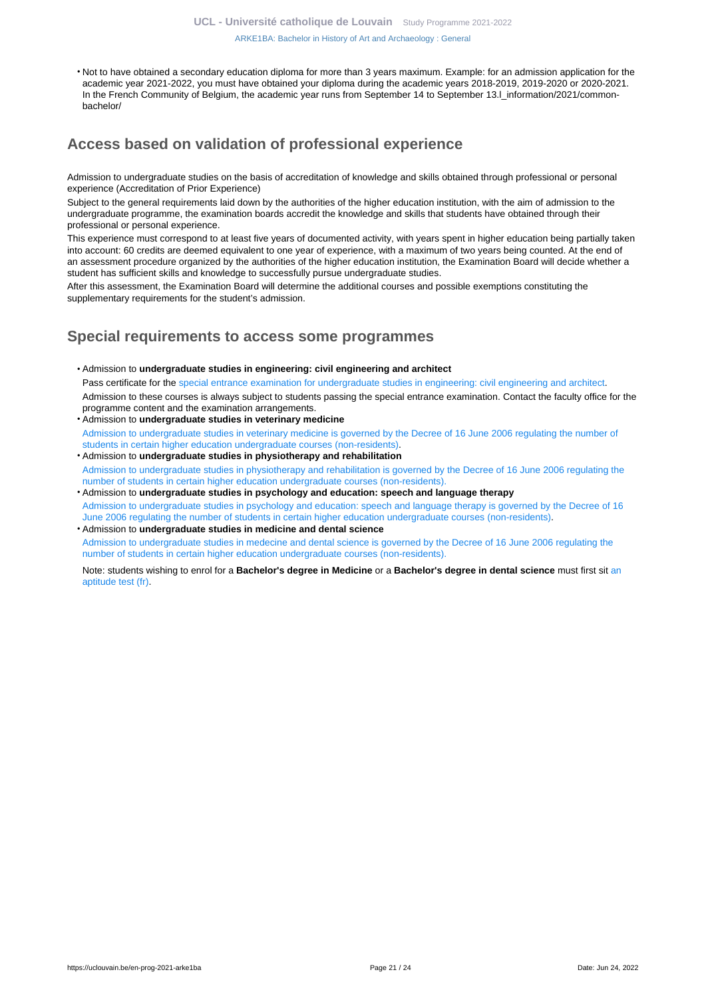[ARKE1BA: Bachelor in History of Art and Archaeology : General](https://uclouvain.be/en-prog-2021-arke1ba.html)

• Not to have obtained a secondary education diploma for more than 3 years maximum. Example: for an admission application for the academic year 2021-2022, you must have obtained your diploma during the academic years 2018-2019, 2019-2020 or 2020-2021. In the French Community of Belgium, the academic year runs from September 14 to September 13.I\_information/2021/commonbachelor/

# <span id="page-20-0"></span>**Access based on validation of professional experience**

Admission to undergraduate studies on the basis of accreditation of knowledge and skills obtained through professional or personal experience (Accreditation of Prior Experience)

Subject to the general requirements laid down by the authorities of the higher education institution, with the aim of admission to the undergraduate programme, the examination boards accredit the knowledge and skills that students have obtained through their professional or personal experience.

This experience must correspond to at least five years of documented activity, with years spent in higher education being partially taken into account: 60 credits are deemed equivalent to one year of experience, with a maximum of two years being counted. At the end of an assessment procedure organized by the authorities of the higher education institution, the Examination Board will decide whether a student has sufficient skills and knowledge to successfully pursue undergraduate studies.

After this assessment, the Examination Board will determine the additional courses and possible exemptions constituting the supplementary requirements for the student's admission.

# <span id="page-20-1"></span>**Special requirements to access some programmes**

- Admission to **undergraduate studies in engineering: civil engineering and architect** Pass certificate for the [special entrance examination for undergraduate studies in engineering: civil engineering and architect](https://uclouvain.be/fr/facultes/epl/examenadmission.html). Admission to these courses is always subject to students passing the special entrance examination. Contact the faculty office for the programme content and the examination arrangements.
- Admission to **undergraduate studies in veterinary medicine**  [Admission to undergraduate studies in veterinary medicine is governed by the Decree of 16 June 2006 regulating the number of](https://uclouvain.be/en/study/inscriptions/etudes-contingentees.html) [students in certain higher education undergraduate courses \(non-residents\)](https://uclouvain.be/en/study/inscriptions/etudes-contingentees.html).
- Admission to **undergraduate studies in physiotherapy and rehabilitation** [Admission to undergraduate studies in physiotherapy and rehabilitation is governed by the Decree of 16 June 2006 regulating the](https://uclouvain.be/en/study/inscriptions/etudes-contingentees.html) [number of students in certain higher education undergraduate courses \(non-residents\).](https://uclouvain.be/en/study/inscriptions/etudes-contingentees.html)
- Admission to **undergraduate studies in psychology and education: speech and language therapy** [Admission to undergraduate studies in psychology and education: speech and language therapy is governed by the Decree of 16](https://uclouvain.be/en/study/inscriptions/etudes-contingentees.html) [June 2006 regulating the number of students in certain higher education undergraduate courses \(non-residents\).](https://uclouvain.be/en/study/inscriptions/etudes-contingentees.html)
- Admission to **undergraduate studies in medicine and dental science** [Admission to undergraduate studies in medecine and dental science is governed by the Decree of 16 June 2006 regulating the](https://uclouvain.be/en/study/inscriptions/etudes-contingentees.html) [number of students in certain higher education undergraduate courses \(non-residents\).](https://uclouvain.be/en/study/inscriptions/etudes-contingentees.html)

Note: students wishing to enrol for a **Bachelor's degree in Medicine** or a **Bachelor's degree in dental science** must first sit [an](https://uclouvain.be/en/study/inscriptions/etudes-contingentees.html) [aptitude test \(fr\).](https://uclouvain.be/en/study/inscriptions/etudes-contingentees.html)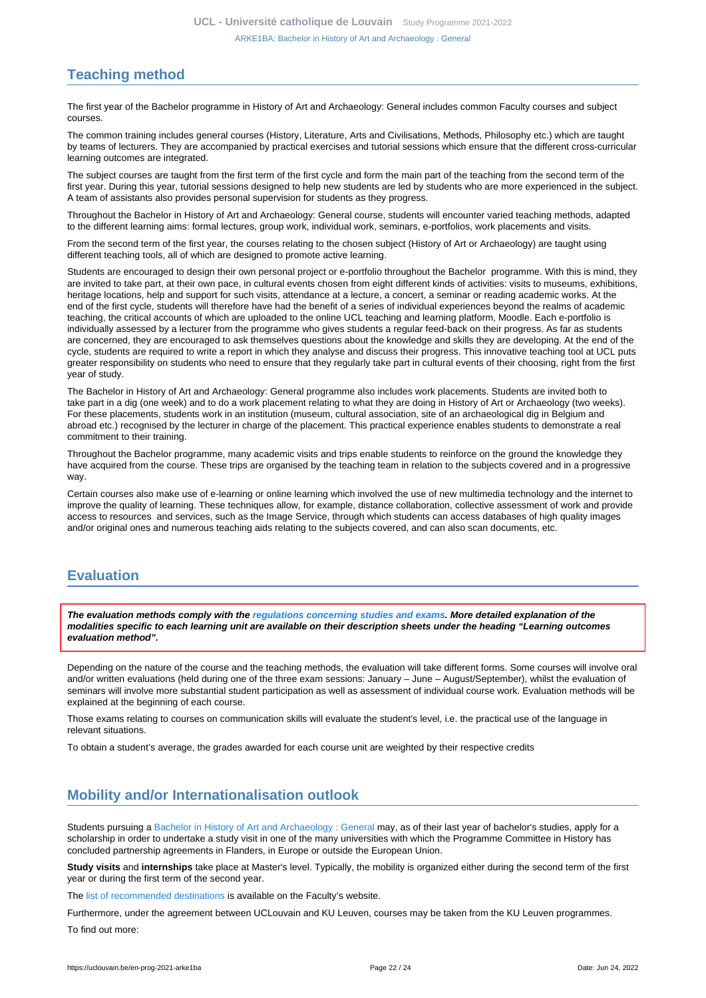# <span id="page-21-0"></span>**Teaching method**

The first year of the Bachelor programme in History of Art and Archaeology: General includes common Faculty courses and subject courses.

The common training includes general courses (History, Literature, Arts and Civilisations, Methods, Philosophy etc.) which are taught by teams of lecturers. They are accompanied by practical exercises and tutorial sessions which ensure that the different cross-curricular learning outcomes are integrated.

The subject courses are taught from the first term of the first cycle and form the main part of the teaching from the second term of the first year. During this year, tutorial sessions designed to help new students are led by students who are more experienced in the subject. A team of assistants also provides personal supervision for students as they progress.

Throughout the Bachelor in History of Art and Archaeology: General course, students will encounter varied teaching methods, adapted to the different learning aims: formal lectures, group work, individual work, seminars, e-portfolios, work placements and visits.

From the second term of the first year, the courses relating to the chosen subject (History of Art or Archaeology) are taught using different teaching tools, all of which are designed to promote active learning.

Students are encouraged to design their own personal project or e-portfolio throughout the Bachelor programme. With this is mind, they are invited to take part, at their own pace, in cultural events chosen from eight different kinds of activities: visits to museums, exhibitions, heritage locations, help and support for such visits, attendance at a lecture, a concert, a seminar or reading academic works. At the end of the first cycle, students will therefore have had the benefit of a series of individual experiences beyond the realms of academic teaching, the critical accounts of which are uploaded to the online UCL teaching and learning platform, Moodle. Each e-portfolio is individually assessed by a lecturer from the programme who gives students a regular feed-back on their progress. As far as students are concerned, they are encouraged to ask themselves questions about the knowledge and skills they are developing. At the end of the cycle, students are required to write a report in which they analyse and discuss their progress. This innovative teaching tool at UCL puts greater responsibility on students who need to ensure that they regularly take part in cultural events of their choosing, right from the first year of study.

The Bachelor in History of Art and Archaeology: General programme also includes work placements. Students are invited both to take part in a dig (one week) and to do a work placement relating to what they are doing in History of Art or Archaeology (two weeks). For these placements, students work in an institution (museum, cultural association, site of an archaeological dig in Belgium and abroad etc.) recognised by the lecturer in charge of the placement. This practical experience enables students to demonstrate a real commitment to their training.

Throughout the Bachelor programme, many academic visits and trips enable students to reinforce on the ground the knowledge they have acquired from the course. These trips are organised by the teaching team in relation to the subjects covered and in a progressive way.

Certain courses also make use of e-learning or online learning which involved the use of new multimedia technology and the internet to improve the quality of learning. These techniques allow, for example, distance collaboration, collective assessment of work and provide access to resources and services, such as the Image Service, through which students can access databases of high quality images and/or original ones and numerous teaching aids relating to the subjects covered, and can also scan documents, etc.

# <span id="page-21-1"></span>**Evaluation**

**The evaluation methods comply with the [regulations concerning studies and exams](https://uclouvain.be/fr/decouvrir/rgee.html). More detailed explanation of the modalities specific to each learning unit are available on their description sheets under the heading "Learning outcomes evaluation method".**

Depending on the nature of the course and the teaching methods, the evaluation will take different forms. Some courses will involve oral and/or written evaluations (held during one of the three exam sessions: January – June – August/September), whilst the evaluation of seminars will involve more substantial student participation as well as assessment of individual course work. Evaluation methods will be explained at the beginning of each course.

Those exams relating to courses on communication skills will evaluate the student's level, i.e. the practical use of the language in relevant situations.

To obtain a student's average, the grades awarded for each course unit are weighted by their respective credits

# <span id="page-21-2"></span>**Mobility and/or Internationalisation outlook**

Students pursuing a [Bachelor in History of Art and Archaeology : General](https://uclouvain.be/en-prog-2021-arke1ba) may, as of their last year of bachelor's studies, apply for a scholarship in order to undertake a study visit in one of the many universities with which the Programme Committee in History has concluded partnership agreements in Flanders, in Europe or outside the European Union.

**Study visits** and **internships** take place at Master's level. Typically, the mobility is organized either during the second term of the first year or during the first term of the second year.

The [list of recommended destinations](https://uclouvain.be/fr/facultes/fial/mobilite-internationale.html) is available on the Faculty's website.

Furthermore, under the agreement between UCLouvain and KU Leuven, courses may be taken from the KU Leuven programmes. To find out more: